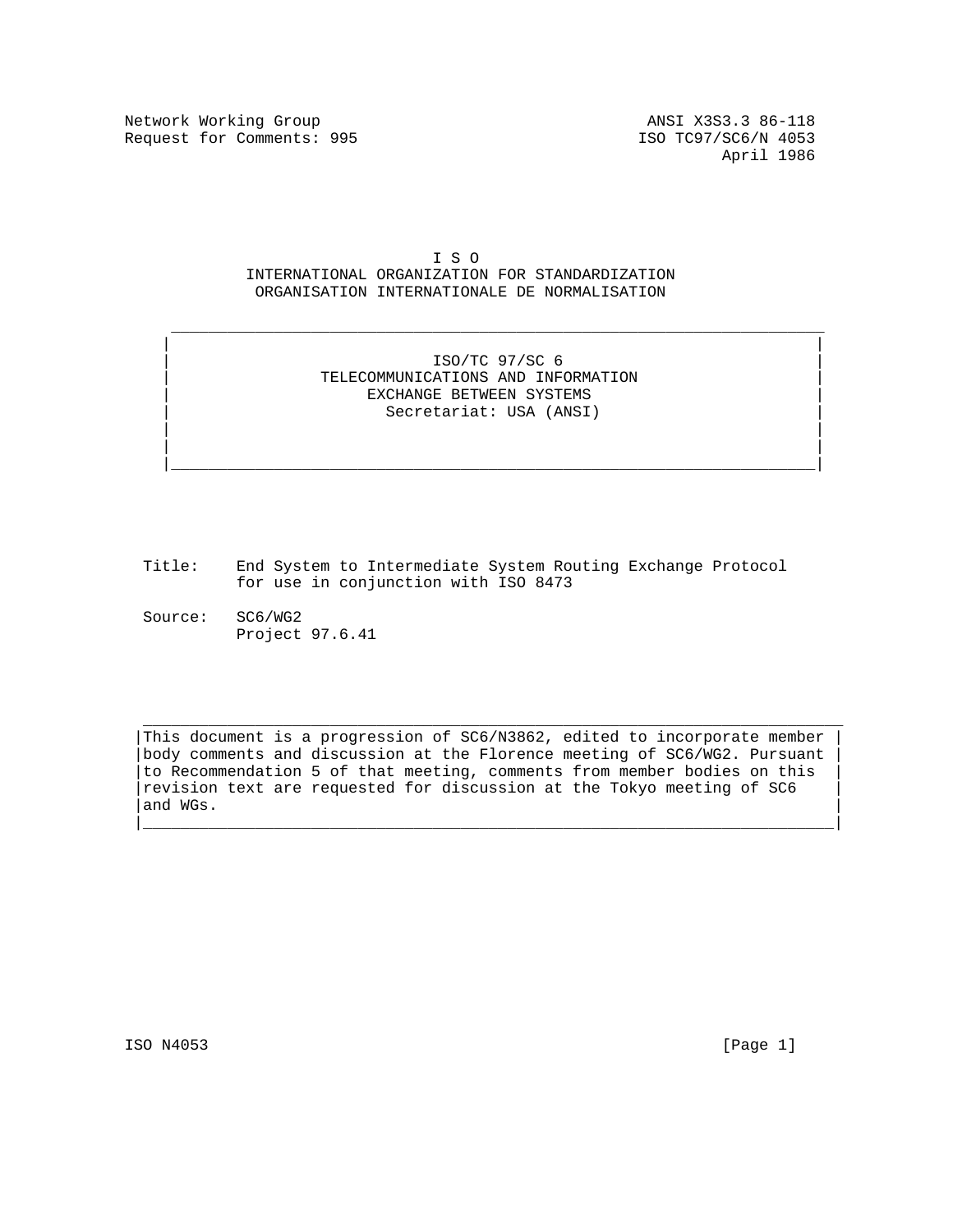Network Working Group ANSI X3S3.3 86-118 Request for Comments: 995 ISO TC97/SC6/N 4053

I S O

# INTERNATIONAL ORGANIZATION FOR STANDARDIZATION ORGANISATION INTERNATIONALE DE NORMALISATION

## | | | ISO/TC 97/SC 6 | | TELECOMMUNICATIONS AND INFORMATION | EXCHANGE BETWEEN SYSTEMS | Secretariat: USA (ANSI) |

 | | | | |\_\_\_\_\_\_\_\_\_\_\_\_\_\_\_\_\_\_\_\_\_\_\_\_\_\_\_\_\_\_\_\_\_\_\_\_\_\_\_\_\_\_\_\_\_\_\_\_\_\_\_\_\_\_\_\_\_\_\_\_\_\_\_\_\_\_\_\_\_|

 $\mathcal{L}_\text{max} = \frac{1}{2} \sum_{i=1}^{n} \frac{1}{2} \sum_{i=1}^{n} \frac{1}{2} \sum_{i=1}^{n} \frac{1}{2} \sum_{i=1}^{n} \frac{1}{2} \sum_{i=1}^{n} \frac{1}{2} \sum_{i=1}^{n} \frac{1}{2} \sum_{i=1}^{n} \frac{1}{2} \sum_{i=1}^{n} \frac{1}{2} \sum_{i=1}^{n} \frac{1}{2} \sum_{i=1}^{n} \frac{1}{2} \sum_{i=1}^{n} \frac{1}{2} \sum_{i=1}^{n} \frac{1$ 

- Title: End System to Intermediate System Routing Exchange Protocol for use in conjunction with ISO 8473
- Source: SC6/WG2 Project 97.6.41

This document is a progression of SC6/N3862, edited to incorporate member body comments and discussion at the Florence meeting of SC6/WG2. Pursuant to Recommendation 5 of that meeting, comments from member bodies on this revision text are requested for discussion at the Tokyo meeting of SC6  $|$  and WGs.

|\_\_\_\_\_\_\_\_\_\_\_\_\_\_\_\_\_\_\_\_\_\_\_\_\_\_\_\_\_\_\_\_\_\_\_\_\_\_\_\_\_\_\_\_\_\_\_\_\_\_\_\_\_\_\_\_\_\_\_\_\_\_\_\_\_\_\_\_\_\_\_\_\_\_|

 $\overline{\phantom{a}}$  ,  $\overline{\phantom{a}}$  ,  $\overline{\phantom{a}}$  ,  $\overline{\phantom{a}}$  ,  $\overline{\phantom{a}}$  ,  $\overline{\phantom{a}}$  ,  $\overline{\phantom{a}}$  ,  $\overline{\phantom{a}}$  ,  $\overline{\phantom{a}}$  ,  $\overline{\phantom{a}}$  ,  $\overline{\phantom{a}}$  ,  $\overline{\phantom{a}}$  ,  $\overline{\phantom{a}}$  ,  $\overline{\phantom{a}}$  ,  $\overline{\phantom{a}}$  ,  $\overline{\phantom{a}}$ 

ISO N4053 [Page 1]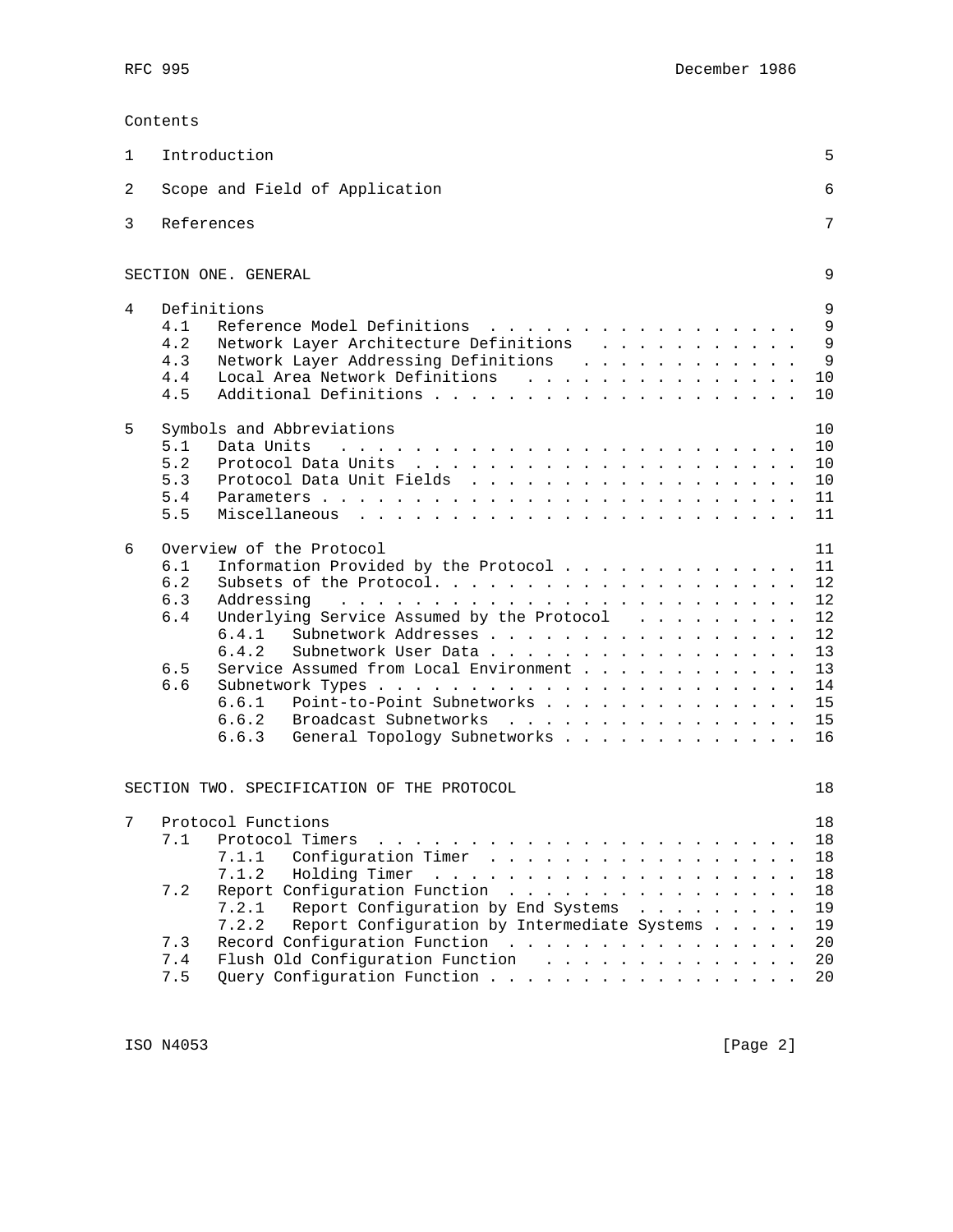## Contents

| 1 | Introduction                                                                                                                                                                                                                                                                                                                                                                                                                                                                                                                                                                                                                                                                                                                                                                                                                                                                            | 5                                                                    |
|---|-----------------------------------------------------------------------------------------------------------------------------------------------------------------------------------------------------------------------------------------------------------------------------------------------------------------------------------------------------------------------------------------------------------------------------------------------------------------------------------------------------------------------------------------------------------------------------------------------------------------------------------------------------------------------------------------------------------------------------------------------------------------------------------------------------------------------------------------------------------------------------------------|----------------------------------------------------------------------|
| 2 | Scope and Field of Application                                                                                                                                                                                                                                                                                                                                                                                                                                                                                                                                                                                                                                                                                                                                                                                                                                                          | 6                                                                    |
| 3 | References                                                                                                                                                                                                                                                                                                                                                                                                                                                                                                                                                                                                                                                                                                                                                                                                                                                                              | 7                                                                    |
|   | SECTION ONE. GENERAL                                                                                                                                                                                                                                                                                                                                                                                                                                                                                                                                                                                                                                                                                                                                                                                                                                                                    | 9                                                                    |
| 4 | Definitions<br>4.1<br>Reference Model Definitions<br>.<br>4.2<br>Network Layer Architecture Definitions<br>4.3<br>Network Layer Addressing Definitions<br>Local Area Network Definitions<br>4.4<br>4.5                                                                                                                                                                                                                                                                                                                                                                                                                                                                                                                                                                                                                                                                                  | 9<br>9<br>9<br>9<br>10<br>10                                         |
| 5 | Symbols and Abbreviations<br>5.1<br>Data Units<br>5.2<br>5.3<br>Protocol Data Unit Fields<br>5.4<br>5.5                                                                                                                                                                                                                                                                                                                                                                                                                                                                                                                                                                                                                                                                                                                                                                                 | 10<br>10<br>10<br>10<br>11<br>11                                     |
| 6 | Overview of the Protocol<br>6.1<br>Information Provided by the Protocol<br>6.2<br>6.3<br>Addressing<br>$\mathbf{1} \quad \mathbf{1} \quad \mathbf{2} \quad \mathbf{3} \quad \mathbf{4} \quad \mathbf{5} \quad \mathbf{6} \quad \mathbf{7} \quad \mathbf{8} \quad \mathbf{9} \quad \mathbf{1} \quad \mathbf{1} \quad \mathbf{1} \quad \mathbf{1} \quad \mathbf{1} \quad \mathbf{1} \quad \mathbf{1} \quad \mathbf{1} \quad \mathbf{1} \quad \mathbf{1} \quad \mathbf{1} \quad \mathbf{1} \quad \mathbf{1} \quad \mathbf{1} \quad \mathbf{1} \quad \mathbf{1} \quad \mathbf{1} \quad \mathbf{$<br>6.4<br>Underlying Service Assumed by the Protocol<br>Subnetwork Addresses<br>6.4.1<br>6.4.2<br>Subnetwork User Data<br>6.5<br>Service Assumed from Local Environment<br>6.6<br>6.6.1<br>Point-to-Point Subnetworks<br>6.6.2 Broadcast Subnetworks<br>6.6.3 General Topology Subnetworks | 11<br>11<br>12<br>12<br>12<br>12<br>13<br>13<br>14<br>15<br>15<br>16 |
|   | SECTION TWO. SPECIFICATION OF THE PROTOCOL                                                                                                                                                                                                                                                                                                                                                                                                                                                                                                                                                                                                                                                                                                                                                                                                                                              | 18                                                                   |
| 7 | Protocol Functions<br>7.1.1<br>Configuration Timer<br>7.1.2<br>Holding Timer<br>and the contract of the contract of the contract of the<br>Report Configuration Function<br>7.2<br>Report Configuration by End Systems<br>7.2.1<br>7.2.2<br>Report Configuration by Intermediate Systems<br>7.3<br>Record Configuration Function<br>Flush Old Configuration Function<br>7.4<br>Query Configuration Function<br>7.5                                                                                                                                                                                                                                                                                                                                                                                                                                                                      | 18<br>18<br>18<br>18<br>18<br>19<br>19<br>20<br>20<br>20             |

ISO N4053 [Page 2]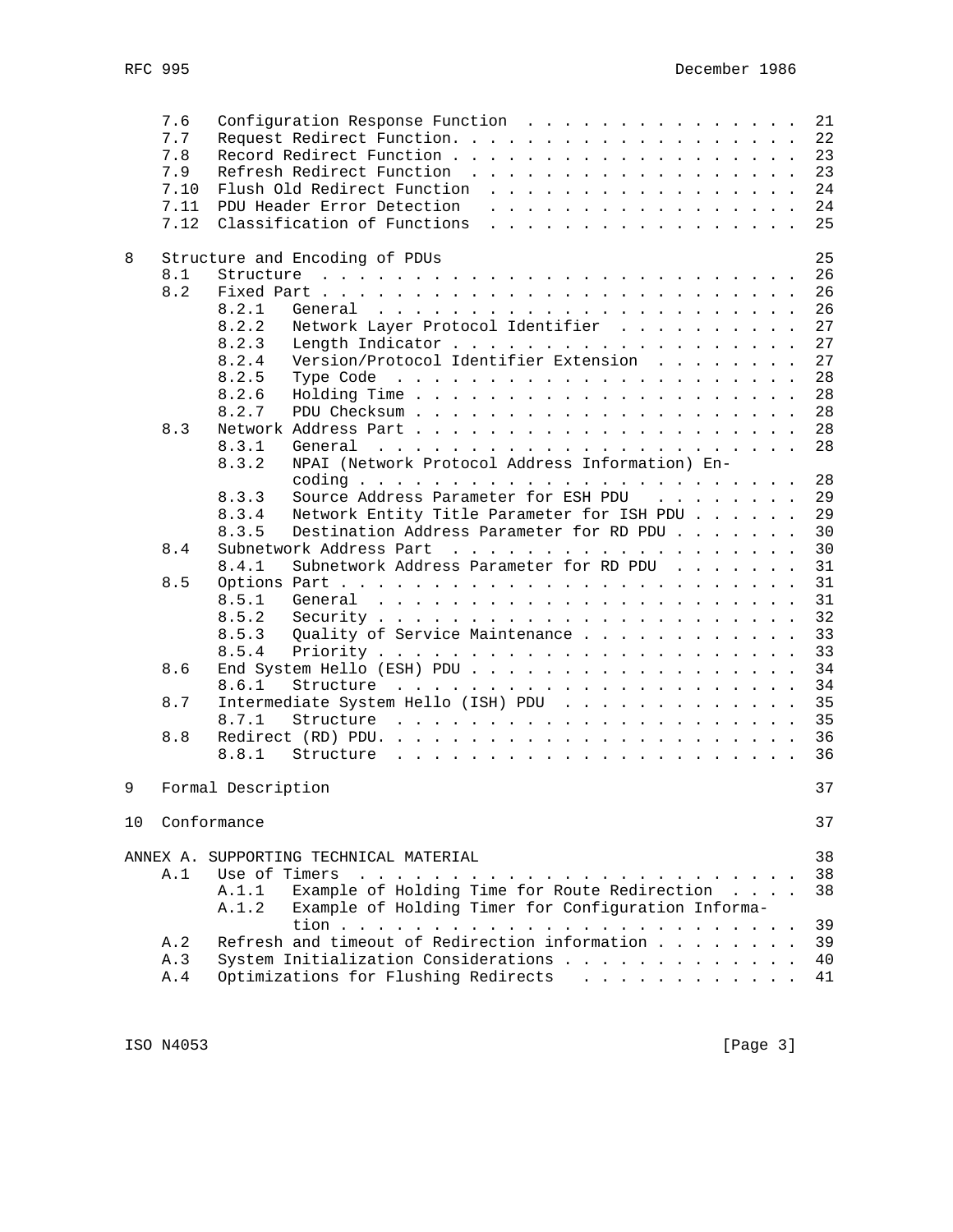|    | 7.6  | Configuration Response Function                                                                                                                                                                                                                               | 21 |
|----|------|---------------------------------------------------------------------------------------------------------------------------------------------------------------------------------------------------------------------------------------------------------------|----|
|    | 7.7  | Request Redirect Function.                                                                                                                                                                                                                                    | 22 |
|    | 7.8  |                                                                                                                                                                                                                                                               | 23 |
|    | 7.9  | Refresh Redirect Function                                                                                                                                                                                                                                     | 23 |
|    | 7.10 | Flush Old Redirect Function                                                                                                                                                                                                                                   | 24 |
|    | 7.11 | PDU Header Error Detection<br>.                                                                                                                                                                                                                               | 24 |
|    | 7.12 | Classification of Functions<br>and the contract of the contract of the contract of the contract of the contract of the contract of the contract of the contract of the contract of the contract of the contract of the contract of the contract of the contra | 25 |
|    |      |                                                                                                                                                                                                                                                               |    |
| 8  |      | Structure and Encoding of PDUs                                                                                                                                                                                                                                | 25 |
|    | 8.1  | Structure<br>and the contract of the contract of the contract of the contract of the contract of the contract of the contract of the contract of the contract of the contract of the contract of the contract of the contract of the contra                   | 26 |
|    | 8.2  |                                                                                                                                                                                                                                                               | 26 |
|    |      | 8.2.1                                                                                                                                                                                                                                                         | 26 |
|    |      | Network Layer Protocol Identifier<br>8.2.2                                                                                                                                                                                                                    | 27 |
|    |      |                                                                                                                                                                                                                                                               |    |
|    |      | 8.2.3                                                                                                                                                                                                                                                         | 27 |
|    |      | Version/Protocol Identifier Extension<br>8.2.4                                                                                                                                                                                                                | 27 |
|    |      | 8.2.5                                                                                                                                                                                                                                                         | 28 |
|    |      | 8.2.6                                                                                                                                                                                                                                                         | 28 |
|    |      | 8.2.7                                                                                                                                                                                                                                                         | 28 |
|    | 8.3  |                                                                                                                                                                                                                                                               | 28 |
|    |      | 8.3.1<br>General                                                                                                                                                                                                                                              | 28 |
|    |      | NPAI (Network Protocol Address Information) En-<br>8.3.2                                                                                                                                                                                                      |    |
|    |      |                                                                                                                                                                                                                                                               | 28 |
|    |      | 8.3.3<br>Source Address Parameter for ESH PDU                                                                                                                                                                                                                 | 29 |
|    |      | 8.3.4<br>Network Entity Title Parameter for ISH PDU                                                                                                                                                                                                           | 29 |
|    |      | 8.3.5<br>Destination Address Parameter for RD PDU                                                                                                                                                                                                             | 30 |
|    | 8.4  |                                                                                                                                                                                                                                                               | 30 |
|    |      | Subnetwork Address Parameter for RD PDU<br>8.4.1                                                                                                                                                                                                              | 31 |
|    | 8.5  |                                                                                                                                                                                                                                                               | 31 |
|    |      | 8.5.1                                                                                                                                                                                                                                                         | 31 |
|    |      | 8.5.2                                                                                                                                                                                                                                                         | 32 |
|    |      | Quality of Service Maintenance<br>8.5.3                                                                                                                                                                                                                       | 33 |
|    |      | 8.5.4                                                                                                                                                                                                                                                         |    |
|    |      |                                                                                                                                                                                                                                                               | 33 |
|    | 8.6  | End System Hello (ESH) PDU                                                                                                                                                                                                                                    | 34 |
|    |      | 8.6.1<br>Structure<br>the contract of the contract of the contract of the contract of the contract of the contract of the contract of the contract of the contract of the contract of the contract of the contract of the contract of the contract o          | 34 |
|    | 8.7  | Intermediate System Hello (ISH) PDU                                                                                                                                                                                                                           | 35 |
|    |      | 8.7.1                                                                                                                                                                                                                                                         | 35 |
|    | 8.8  |                                                                                                                                                                                                                                                               | 36 |
|    |      | 8.8.1                                                                                                                                                                                                                                                         | 36 |
|    |      |                                                                                                                                                                                                                                                               |    |
| 9  |      | Formal Description                                                                                                                                                                                                                                            | 37 |
|    |      |                                                                                                                                                                                                                                                               |    |
| 10 |      | Conformance                                                                                                                                                                                                                                                   | 37 |
|    |      |                                                                                                                                                                                                                                                               |    |
|    |      | ANNEX A. SUPPORTING TECHNICAL MATERIAL                                                                                                                                                                                                                        | 38 |
|    | A.1  | Use of Timers<br>$\frac{1}{2}$                                                                                                                                                                                                                                | 38 |
|    |      | Example of Holding Time for Route Redirection<br>A.1.1                                                                                                                                                                                                        | 38 |
|    |      | Example of Holding Timer for Configuration Informa-<br>A.1.2                                                                                                                                                                                                  |    |
|    |      |                                                                                                                                                                                                                                                               | 39 |
|    | A.2  | Refresh and timeout of Redirection information                                                                                                                                                                                                                | 39 |
|    | A.3  | System Initialization Considerations                                                                                                                                                                                                                          | 40 |
|    | A.4  | Optimizations for Flushing Redirects                                                                                                                                                                                                                          | 41 |
|    |      |                                                                                                                                                                                                                                                               |    |

ISO N4053 [Page 3]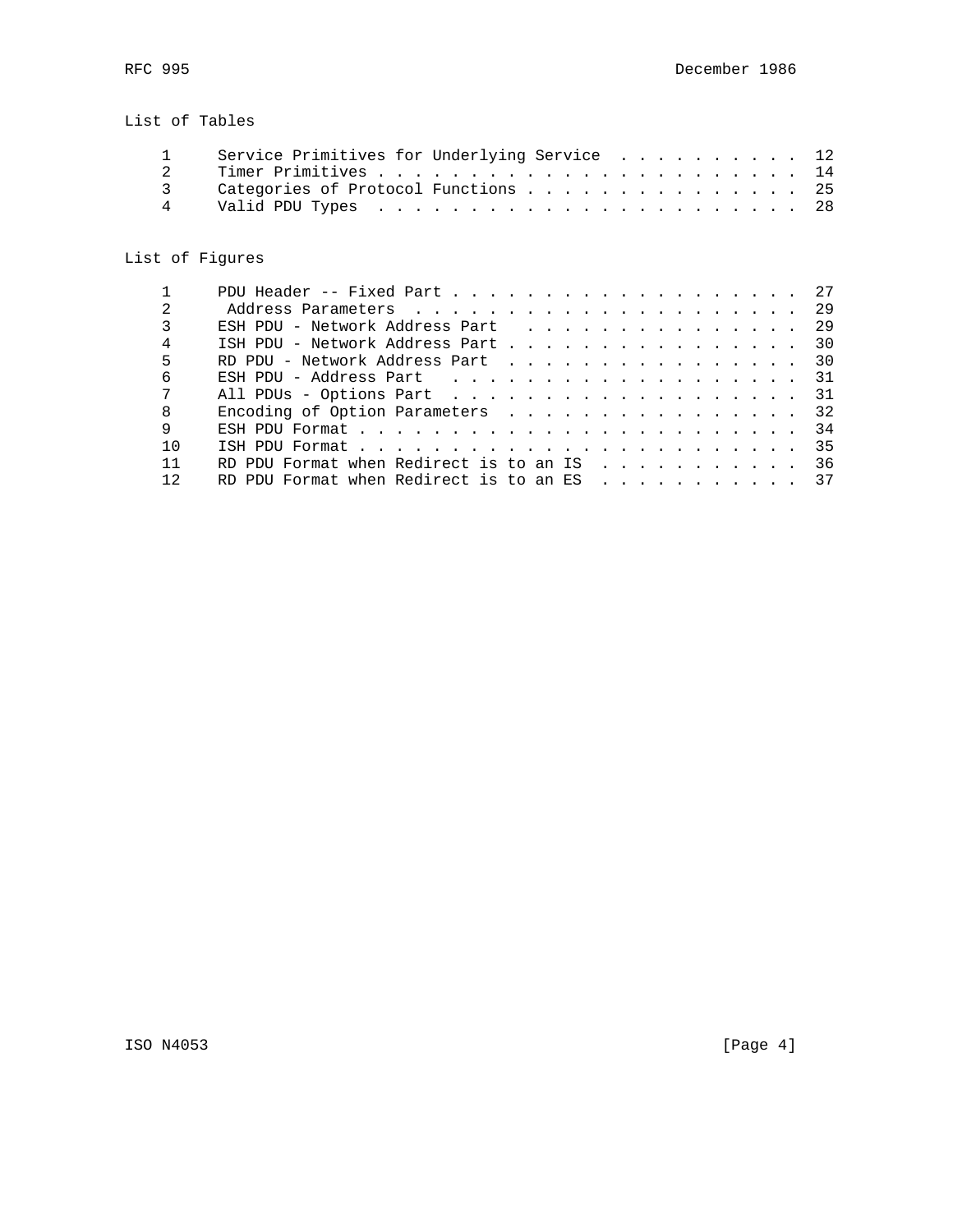# List of Tables

|               | Service Primitives for Underlying Service  12 |  |
|---------------|-----------------------------------------------|--|
|               |                                               |  |
| $\mathcal{R}$ | Categories of Protocol Functions 25           |  |
|               |                                               |  |

# List of Figures

|                | PDU Header -- Fixed Part 27                         |  |
|----------------|-----------------------------------------------------|--|
| $\mathfrak{D}$ |                                                     |  |
| 3              | ESH PDU - Network Address Part (b) 29               |  |
| 4              | ISH PDU - Network Address Part 30                   |  |
| 5              | RD PDU - Network Address Part 30                    |  |
| 6              | ESH PDU - Address Part 31                           |  |
| 7              | All PDUs - Options Part 31                          |  |
| 8              | Encoding of Option Parameters 32                    |  |
| 9              |                                                     |  |
| 1 <sub>0</sub> |                                                     |  |
| 11             | RD PDU Format when Redirect is to an IS $\ldots$ 36 |  |
| 12             | RD PDU Format when Redirect is to an ES $\ldots$ 37 |  |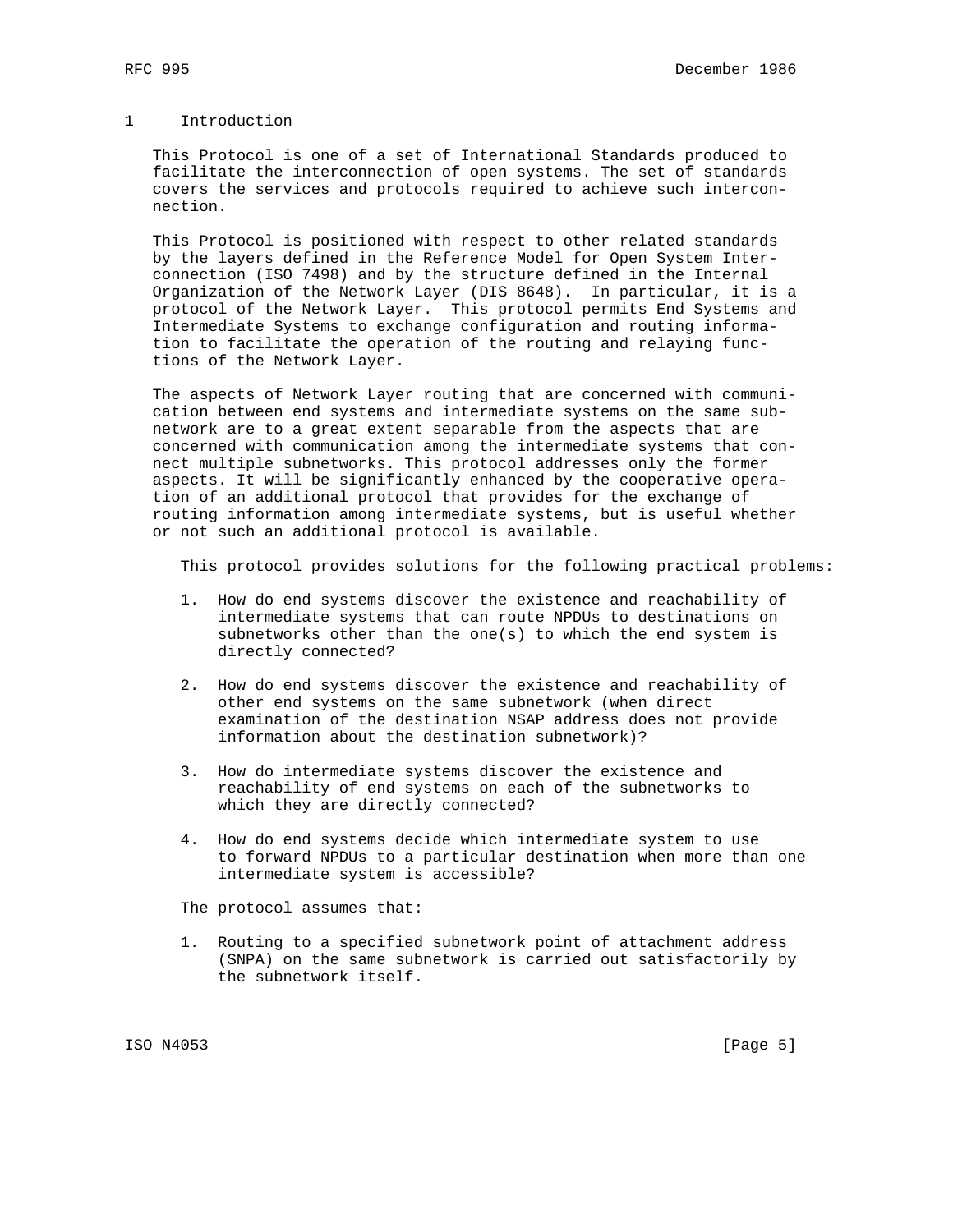### 1 Introduction

 This Protocol is one of a set of International Standards produced to facilitate the interconnection of open systems. The set of standards covers the services and protocols required to achieve such intercon nection.

 This Protocol is positioned with respect to other related standards by the layers defined in the Reference Model for Open System Inter connection (ISO 7498) and by the structure defined in the Internal Organization of the Network Layer (DIS 8648). In particular, it is a protocol of the Network Layer. This protocol permits End Systems and Intermediate Systems to exchange configuration and routing informa tion to facilitate the operation of the routing and relaying func tions of the Network Layer.

 The aspects of Network Layer routing that are concerned with communi cation between end systems and intermediate systems on the same sub network are to a great extent separable from the aspects that are concerned with communication among the intermediate systems that con nect multiple subnetworks. This protocol addresses only the former aspects. It will be significantly enhanced by the cooperative opera tion of an additional protocol that provides for the exchange of routing information among intermediate systems, but is useful whether or not such an additional protocol is available.

This protocol provides solutions for the following practical problems:

- 1. How do end systems discover the existence and reachability of intermediate systems that can route NPDUs to destinations on subnetworks other than the one(s) to which the end system is directly connected?
- 2. How do end systems discover the existence and reachability of other end systems on the same subnetwork (when direct examination of the destination NSAP address does not provide information about the destination subnetwork)?
- 3. How do intermediate systems discover the existence and reachability of end systems on each of the subnetworks to which they are directly connected?
- 4. How do end systems decide which intermediate system to use to forward NPDUs to a particular destination when more than one intermediate system is accessible?

The protocol assumes that:

 1. Routing to a specified subnetwork point of attachment address (SNPA) on the same subnetwork is carried out satisfactorily by the subnetwork itself.

ISO N4053 [Page 5]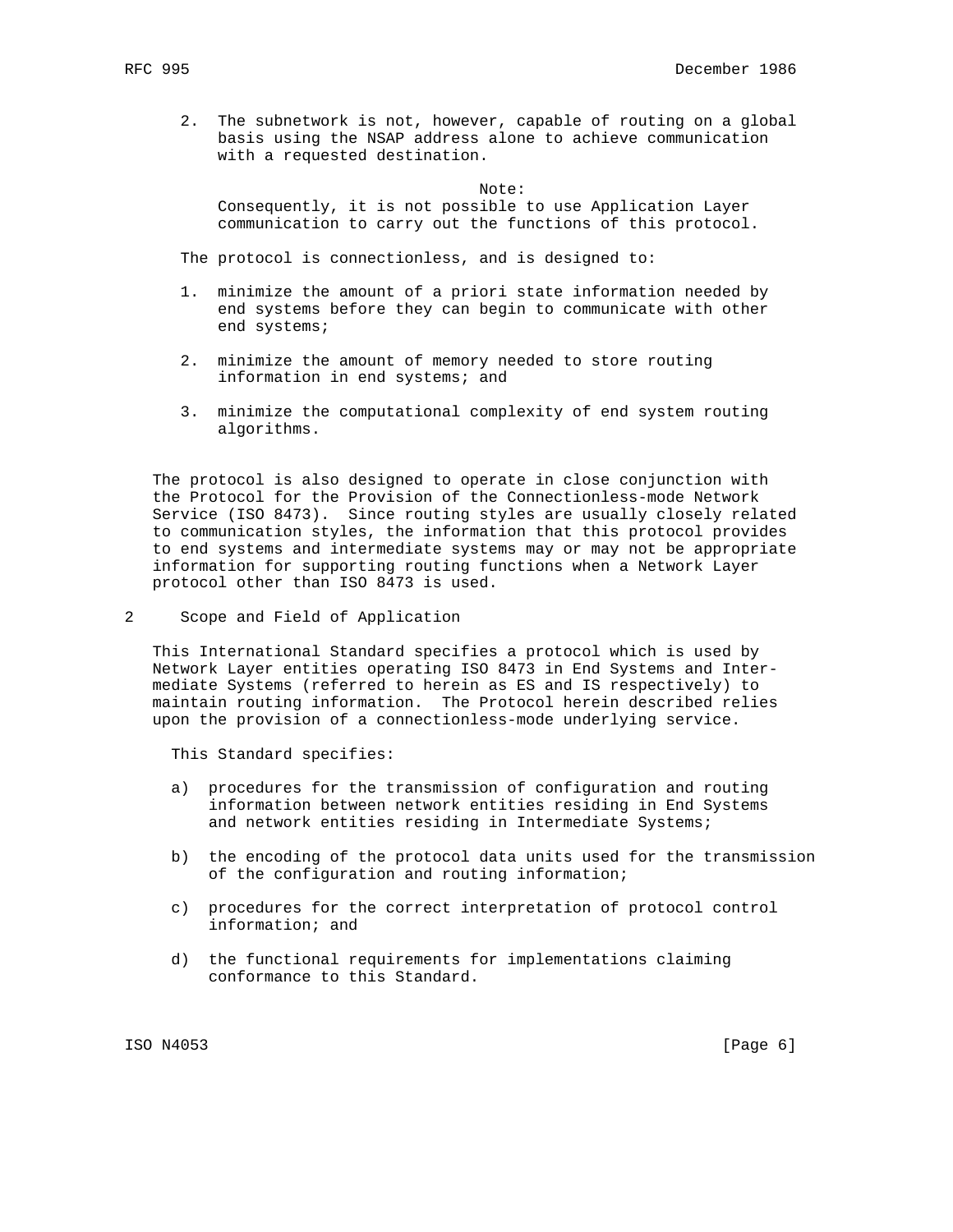2. The subnetwork is not, however, capable of routing on a global basis using the NSAP address alone to achieve communication with a requested destination.

Note:

 Consequently, it is not possible to use Application Layer communication to carry out the functions of this protocol.

The protocol is connectionless, and is designed to:

- 1. minimize the amount of a priori state information needed by end systems before they can begin to communicate with other end systems;
- 2. minimize the amount of memory needed to store routing information in end systems; and
- 3. minimize the computational complexity of end system routing algorithms.

 The protocol is also designed to operate in close conjunction with the Protocol for the Provision of the Connectionless-mode Network Service (ISO 8473). Since routing styles are usually closely related to communication styles, the information that this protocol provides to end systems and intermediate systems may or may not be appropriate information for supporting routing functions when a Network Layer protocol other than ISO 8473 is used.

2 Scope and Field of Application

 This International Standard specifies a protocol which is used by Network Layer entities operating ISO 8473 in End Systems and Inter mediate Systems (referred to herein as ES and IS respectively) to maintain routing information. The Protocol herein described relies upon the provision of a connectionless-mode underlying service.

This Standard specifies:

- a) procedures for the transmission of configuration and routing information between network entities residing in End Systems and network entities residing in Intermediate Systems;
- b) the encoding of the protocol data units used for the transmission of the configuration and routing information;
- c) procedures for the correct interpretation of protocol control information; and
- d) the functional requirements for implementations claiming conformance to this Standard.

ISO N4053 [Page 6]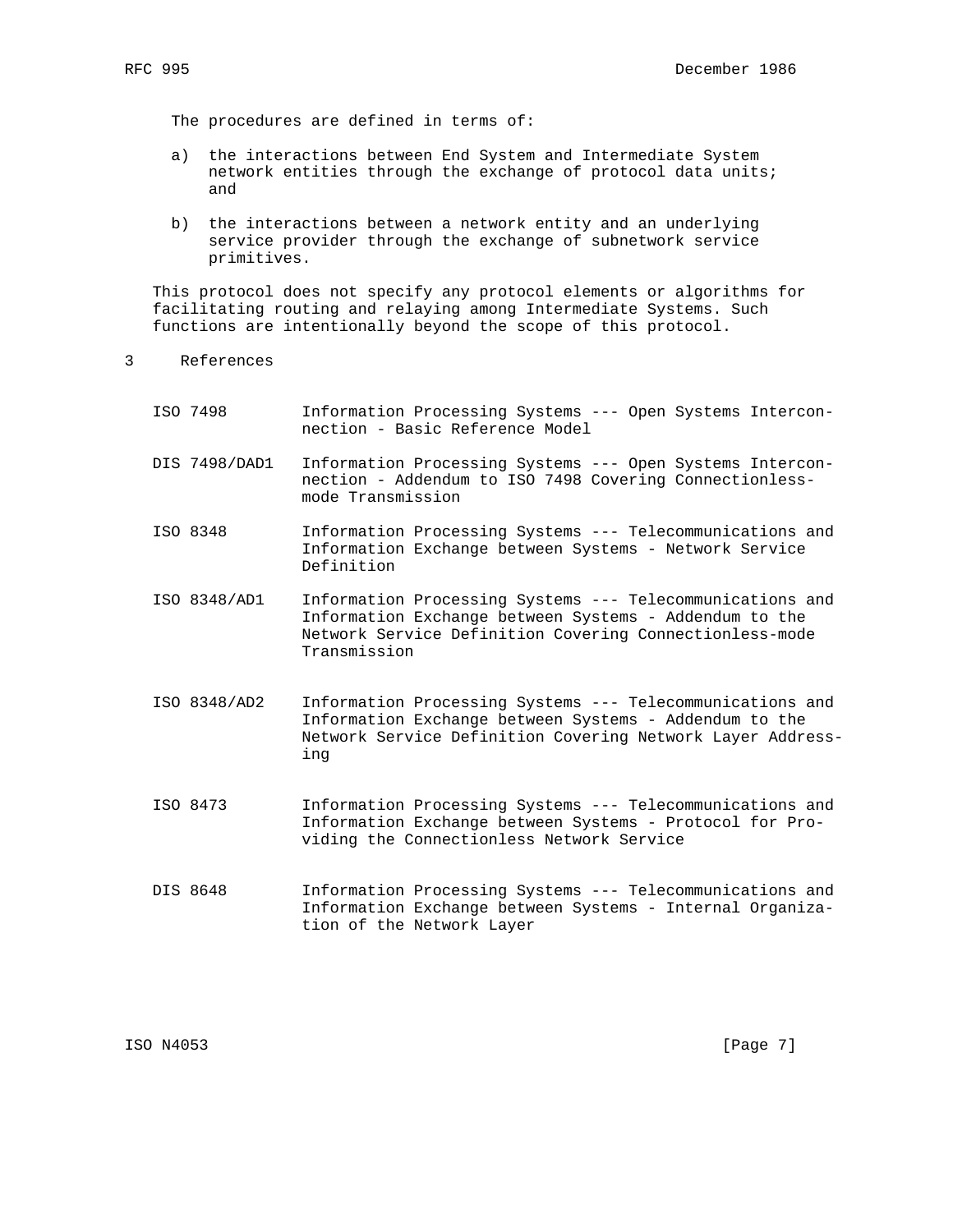The procedures are defined in terms of:

- a) the interactions between End System and Intermediate System network entities through the exchange of protocol data units; and
- b) the interactions between a network entity and an underlying service provider through the exchange of subnetwork service primitives.

 This protocol does not specify any protocol elements or algorithms for facilitating routing and relaying among Intermediate Systems. Such functions are intentionally beyond the scope of this protocol.

- 3 References
	- ISO 7498 Information Processing Systems --- Open Systems Intercon nection - Basic Reference Model DIS 7498/DAD1 Information Processing Systems --- Open Systems Intercon nection - Addendum to ISO 7498 Covering Connectionless mode Transmission ISO 8348 Information Processing Systems --- Telecommunications and Information Exchange between Systems - Network Service Definition ISO 8348/AD1 Information Processing Systems --- Telecommunications and Information Exchange between Systems - Addendum to the Network Service Definition Covering Connectionless-mode Transmission ISO 8348/AD2 Information Processing Systems --- Telecommunications and Information Exchange between Systems - Addendum to the Network Service Definition Covering Network Layer Address ing ISO 8473 Information Processing Systems --- Telecommunications and Information Exchange between Systems - Protocol for Pro viding the Connectionless Network Service DIS 8648 Information Processing Systems --- Telecommunications and Information Exchange between Systems - Internal Organiza tion of the Network Layer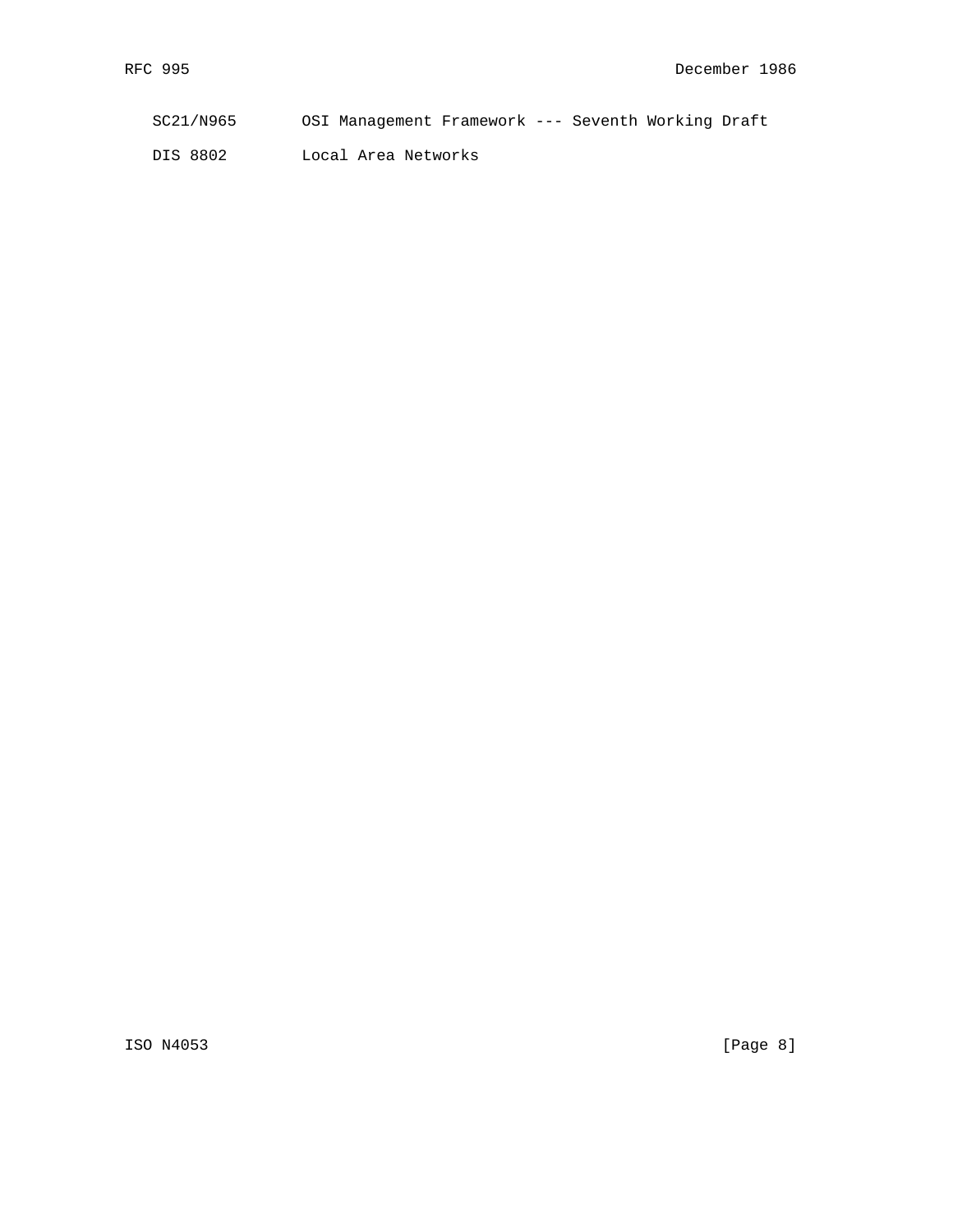| SC21/N965 | OSI Management Framework --- Seventh Working Draft |  |  |  |
|-----------|----------------------------------------------------|--|--|--|
|           |                                                    |  |  |  |

DIS 8802 Local Area Networks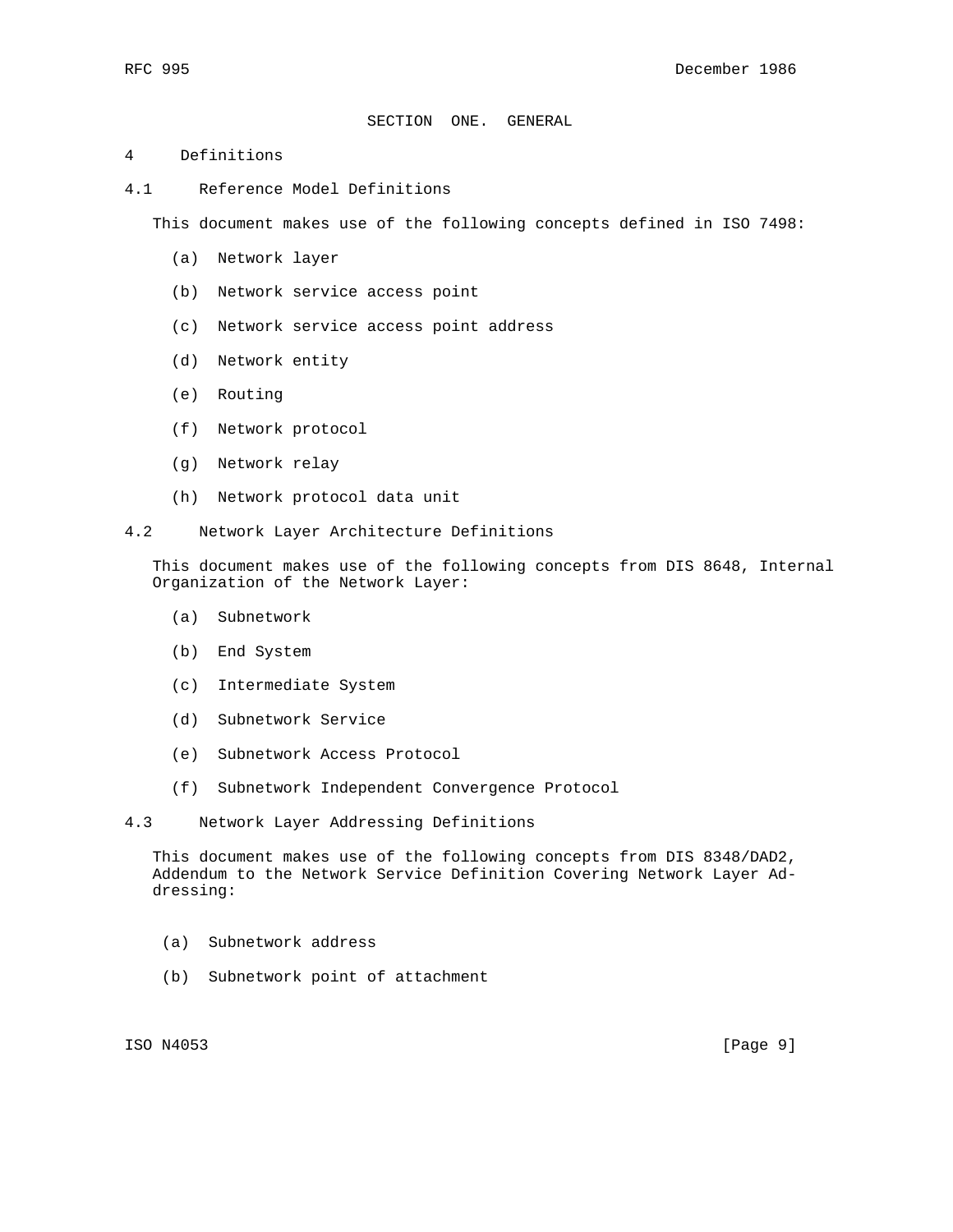## SECTION ONE. GENERAL

### 4 Definitions

4.1 Reference Model Definitions

This document makes use of the following concepts defined in ISO 7498:

- (a) Network layer
- (b) Network service access point
- (c) Network service access point address
- (d) Network entity
- (e) Routing
- (f) Network protocol
- (g) Network relay
- (h) Network protocol data unit
- 4.2 Network Layer Architecture Definitions

 This document makes use of the following concepts from DIS 8648, Internal Organization of the Network Layer:

- (a) Subnetwork
- (b) End System
- (c) Intermediate System
- (d) Subnetwork Service
- (e) Subnetwork Access Protocol
- (f) Subnetwork Independent Convergence Protocol
- 4.3 Network Layer Addressing Definitions

 This document makes use of the following concepts from DIS 8348/DAD2, Addendum to the Network Service Definition Covering Network Layer Ad dressing:

- (a) Subnetwork address
- (b) Subnetwork point of attachment

ISO N4053 [Page 9]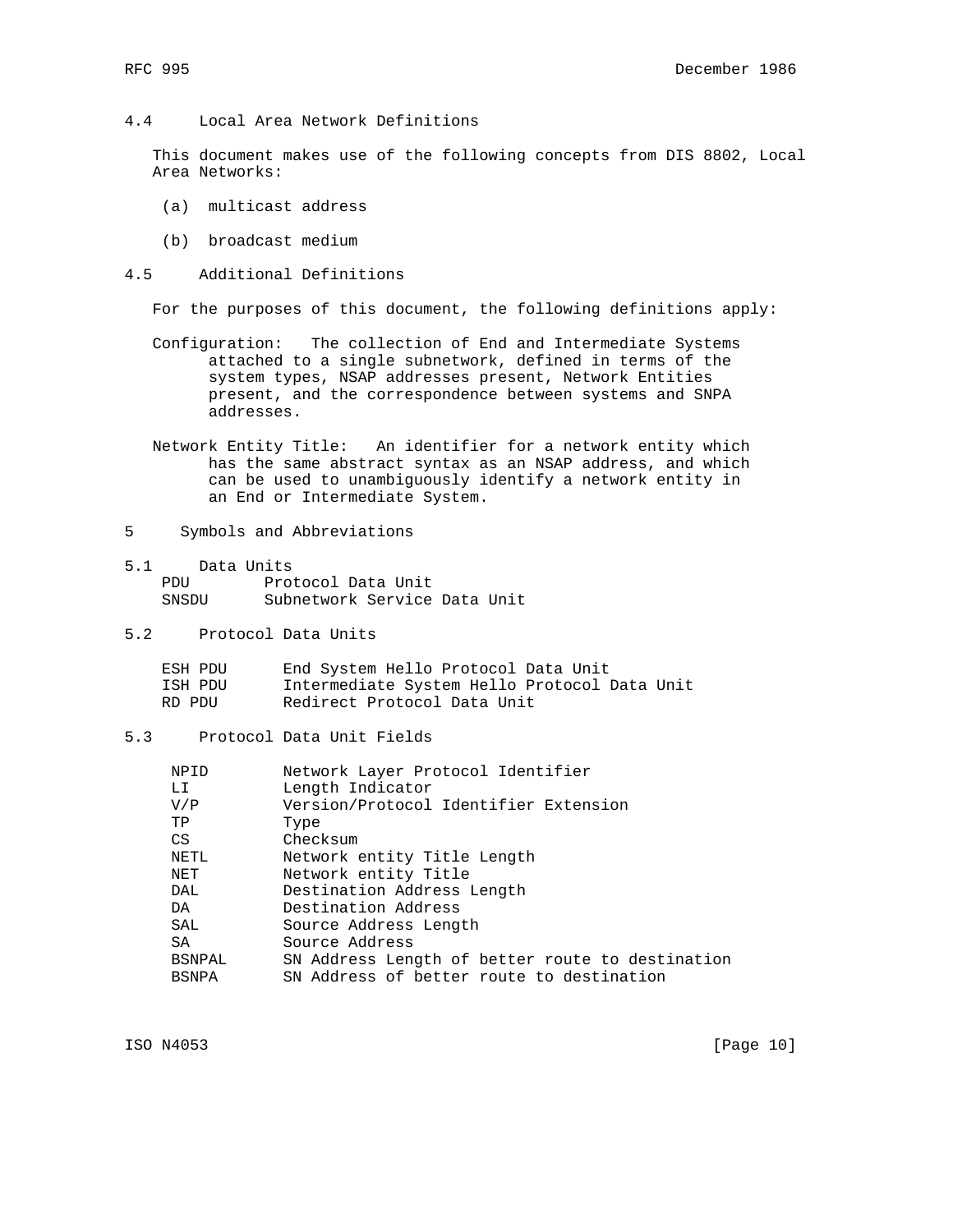4.4 Local Area Network Definitions

 This document makes use of the following concepts from DIS 8802, Local Area Networks:

- (a) multicast address
- (b) broadcast medium
- 4.5 Additional Definitions

For the purposes of this document, the following definitions apply:

- Configuration: The collection of End and Intermediate Systems attached to a single subnetwork, defined in terms of the system types, NSAP addresses present, Network Entities present, and the correspondence between systems and SNPA addresses.
- Network Entity Title: An identifier for a network entity which has the same abstract syntax as an NSAP address, and which can be used to unambiguously identify a network entity in an End or Intermediate System.
- 5 Symbols and Abbreviations
- 5.1 Data Units PDU Protocol Data Unit SNSDU Subnetwork Service Data Unit
- 5.2 Protocol Data Units

| ESH PDU | End System Hello Protocol Data Unit          |
|---------|----------------------------------------------|
| ISH PDU | Intermediate System Hello Protocol Data Unit |
| RD PDU  | Redirect Protocol Data Unit                  |

5.3 Protocol Data Unit Fields

| NPID          | Network Layer Protocol Identifier                |
|---------------|--------------------------------------------------|
| LI            | Length Indicator                                 |
| V/P           | Version/Protocol Identifier Extension            |
| TP            | Type                                             |
| CS            | Checksum                                         |
| NETL          | Network entity Title Length                      |
| NET           | Network entity Title                             |
| DAL           | Destination Address Length                       |
| DA            | Destination Address                              |
| SAL           | Source Address Length                            |
| SA            | Source Address                                   |
| <b>BSNPAL</b> | SN Address Length of better route to destination |
| <b>BSNPA</b>  | SN Address of better route to destination        |

ISO N4053 [Page 10]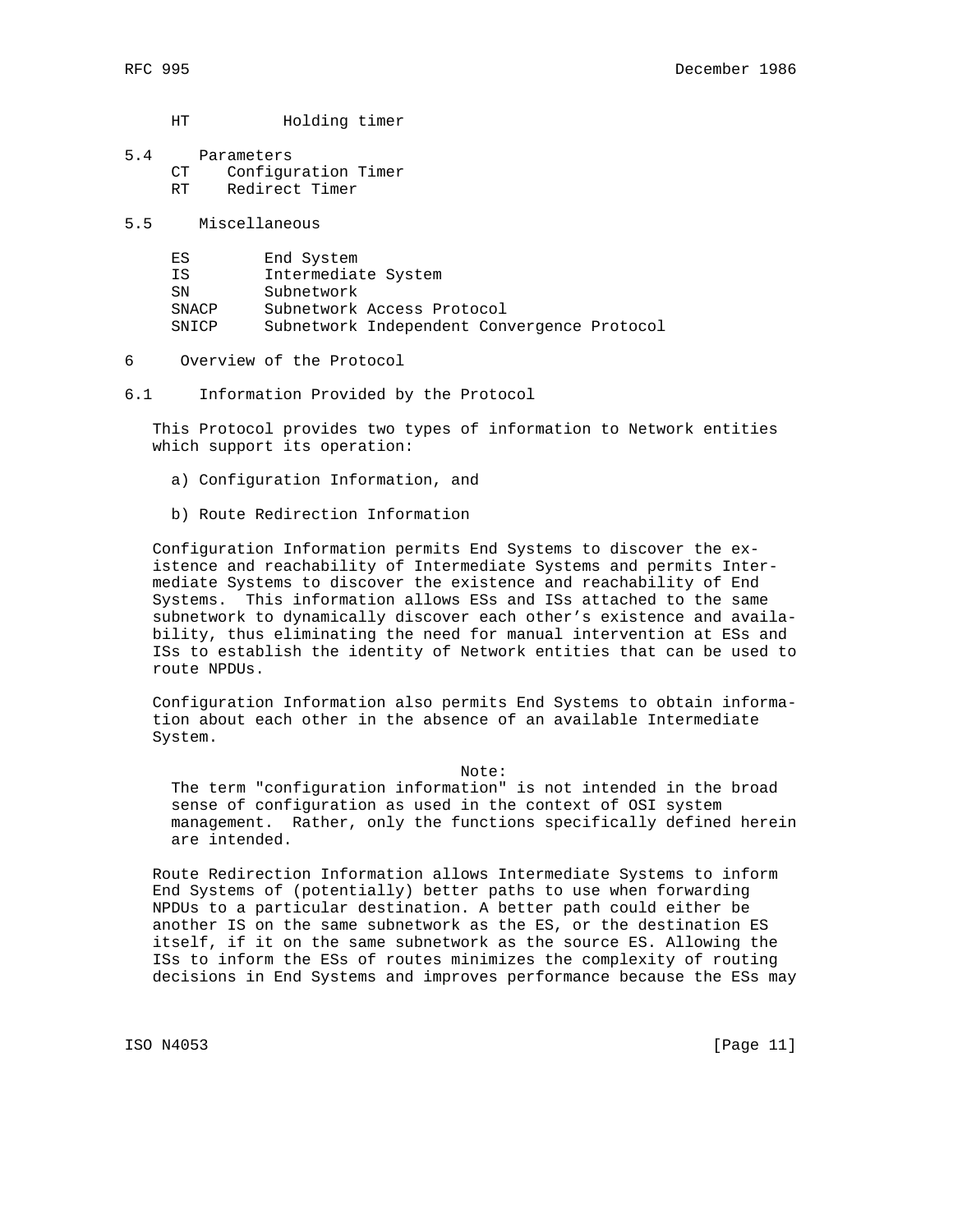HT Holding timer

- 5.4 Parameters CT Configuration Timer RT Redirect Timer
- 5.5 Miscellaneous

| ES    | End System          |                                             |  |
|-------|---------------------|---------------------------------------------|--|
| ΤS    | Intermediate System |                                             |  |
| SN    | Subnetwork          |                                             |  |
| SNACP |                     | Subnetwork Access Protocol                  |  |
| SNICP |                     | Subnetwork Independent Convergence Protocol |  |

6 Overview of the Protocol

6.1 Information Provided by the Protocol

 This Protocol provides two types of information to Network entities which support its operation:

- a) Configuration Information, and
- b) Route Redirection Information

 Configuration Information permits End Systems to discover the ex istence and reachability of Intermediate Systems and permits Inter mediate Systems to discover the existence and reachability of End Systems. This information allows ESs and ISs attached to the same subnetwork to dynamically discover each other's existence and availa bility, thus eliminating the need for manual intervention at ESs and ISs to establish the identity of Network entities that can be used to route NPDUs.

 Configuration Information also permits End Systems to obtain informa tion about each other in the absence of an available Intermediate System.

Note:

 The term "configuration information" is not intended in the broad sense of configuration as used in the context of OSI system management. Rather, only the functions specifically defined herein are intended.

 Route Redirection Information allows Intermediate Systems to inform End Systems of (potentially) better paths to use when forwarding NPDUs to a particular destination. A better path could either be another IS on the same subnetwork as the ES, or the destination ES itself, if it on the same subnetwork as the source ES. Allowing the ISs to inform the ESs of routes minimizes the complexity of routing decisions in End Systems and improves performance because the ESs may

ISO N4053 [Page 11]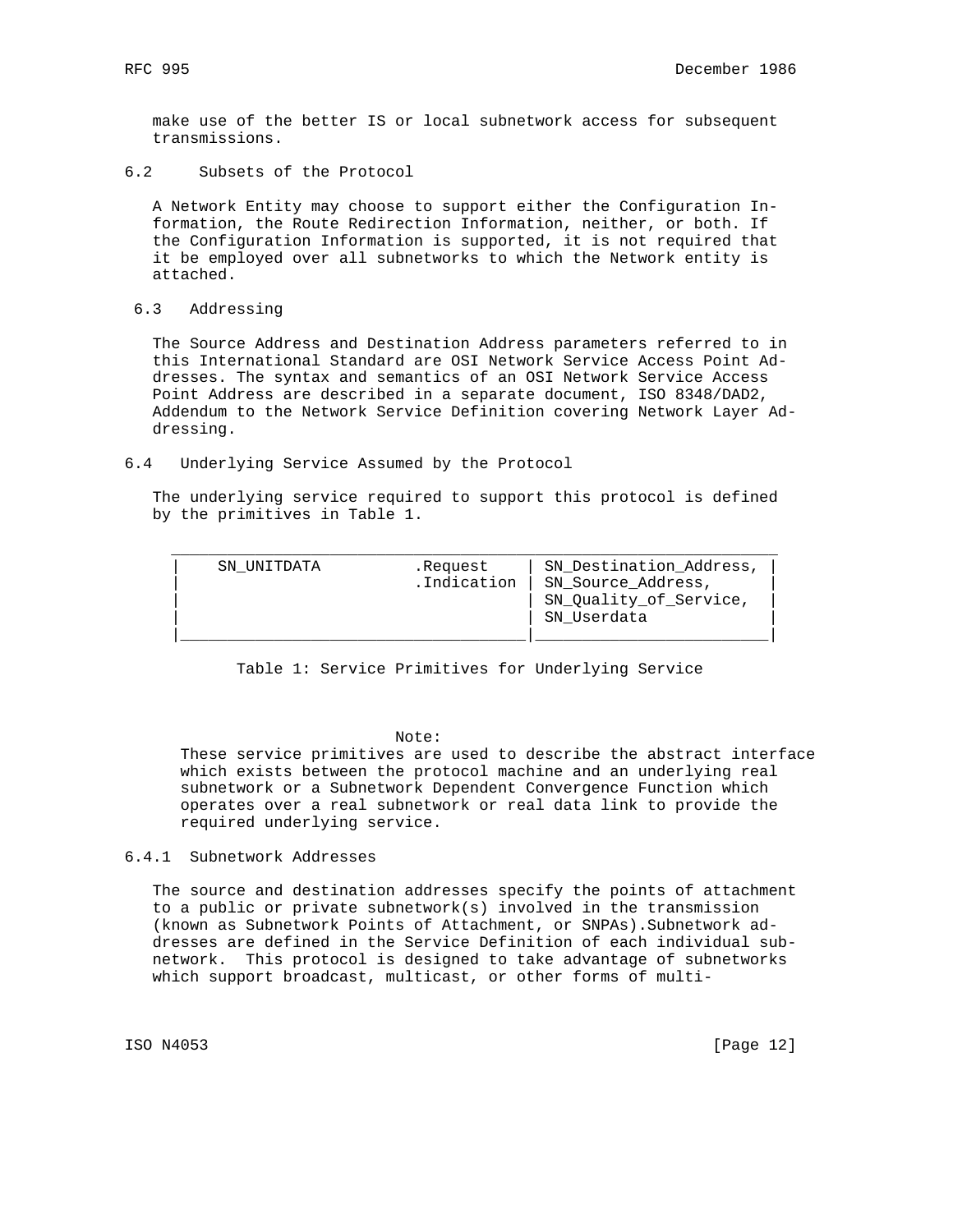make use of the better IS or local subnetwork access for subsequent transmissions.

6.2 Subsets of the Protocol

 A Network Entity may choose to support either the Configuration In formation, the Route Redirection Information, neither, or both. If the Configuration Information is supported, it is not required that it be employed over all subnetworks to which the Network entity is attached.

#### 6.3 Addressing

 The Source Address and Destination Address parameters referred to in this International Standard are OSI Network Service Access Point Ad dresses. The syntax and semantics of an OSI Network Service Access Point Address are described in a separate document, ISO 8348/DAD2, Addendum to the Network Service Definition covering Network Layer Ad dressing.

6.4 Underlying Service Assumed by the Protocol

 The underlying service required to support this protocol is defined by the primitives in Table 1.

| SN UNITDATA | .Request<br>.Indication | SN Destination Address,<br>SN Source Address,<br>SN_Quality_of_Service,<br>SN Userdata |
|-------------|-------------------------|----------------------------------------------------------------------------------------|
|-------------|-------------------------|----------------------------------------------------------------------------------------|

Table 1: Service Primitives for Underlying Service

Note:

 These service primitives are used to describe the abstract interface which exists between the protocol machine and an underlying real subnetwork or a Subnetwork Dependent Convergence Function which operates over a real subnetwork or real data link to provide the required underlying service.

#### 6.4.1 Subnetwork Addresses

 The source and destination addresses specify the points of attachment to a public or private subnetwork(s) involved in the transmission (known as Subnetwork Points of Attachment, or SNPAs).Subnetwork ad dresses are defined in the Service Definition of each individual sub network. This protocol is designed to take advantage of subnetworks which support broadcast, multicast, or other forms of multi-

ISO N4053 [Page 12]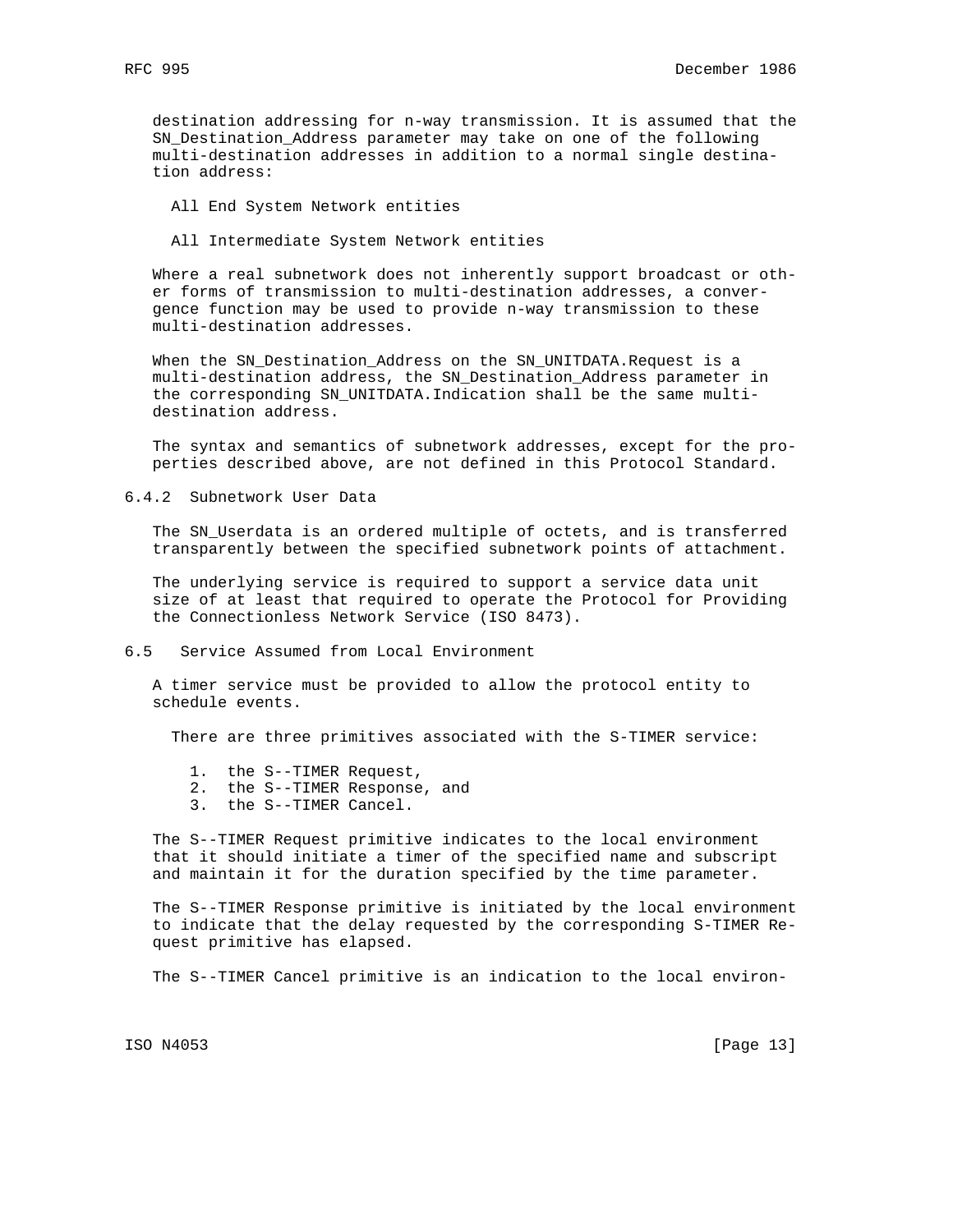destination addressing for n-way transmission. It is assumed that the SN\_Destination\_Address parameter may take on one of the following multi-destination addresses in addition to a normal single destina tion address:

All End System Network entities

All Intermediate System Network entities

 Where a real subnetwork does not inherently support broadcast or oth er forms of transmission to multi-destination addresses, a conver gence function may be used to provide n-way transmission to these multi-destination addresses.

 When the SN\_Destination\_Address on the SN\_UNITDATA.Request is a multi-destination address, the SN\_Destination\_Address parameter in the corresponding SN\_UNITDATA.Indication shall be the same multi destination address.

 The syntax and semantics of subnetwork addresses, except for the pro perties described above, are not defined in this Protocol Standard.

6.4.2 Subnetwork User Data

 The SN\_Userdata is an ordered multiple of octets, and is transferred transparently between the specified subnetwork points of attachment.

 The underlying service is required to support a service data unit size of at least that required to operate the Protocol for Providing the Connectionless Network Service (ISO 8473).

6.5 Service Assumed from Local Environment

 A timer service must be provided to allow the protocol entity to schedule events.

There are three primitives associated with the S-TIMER service:

- 1. the S--TIMER Request,
- 2. the S--TIMER Response, and
- 3. the S--TIMER Cancel.

 The S--TIMER Request primitive indicates to the local environment that it should initiate a timer of the specified name and subscript and maintain it for the duration specified by the time parameter.

 The S--TIMER Response primitive is initiated by the local environment to indicate that the delay requested by the corresponding S-TIMER Re quest primitive has elapsed.

The S--TIMER Cancel primitive is an indication to the local environ-

ISO N4053 [Page 13]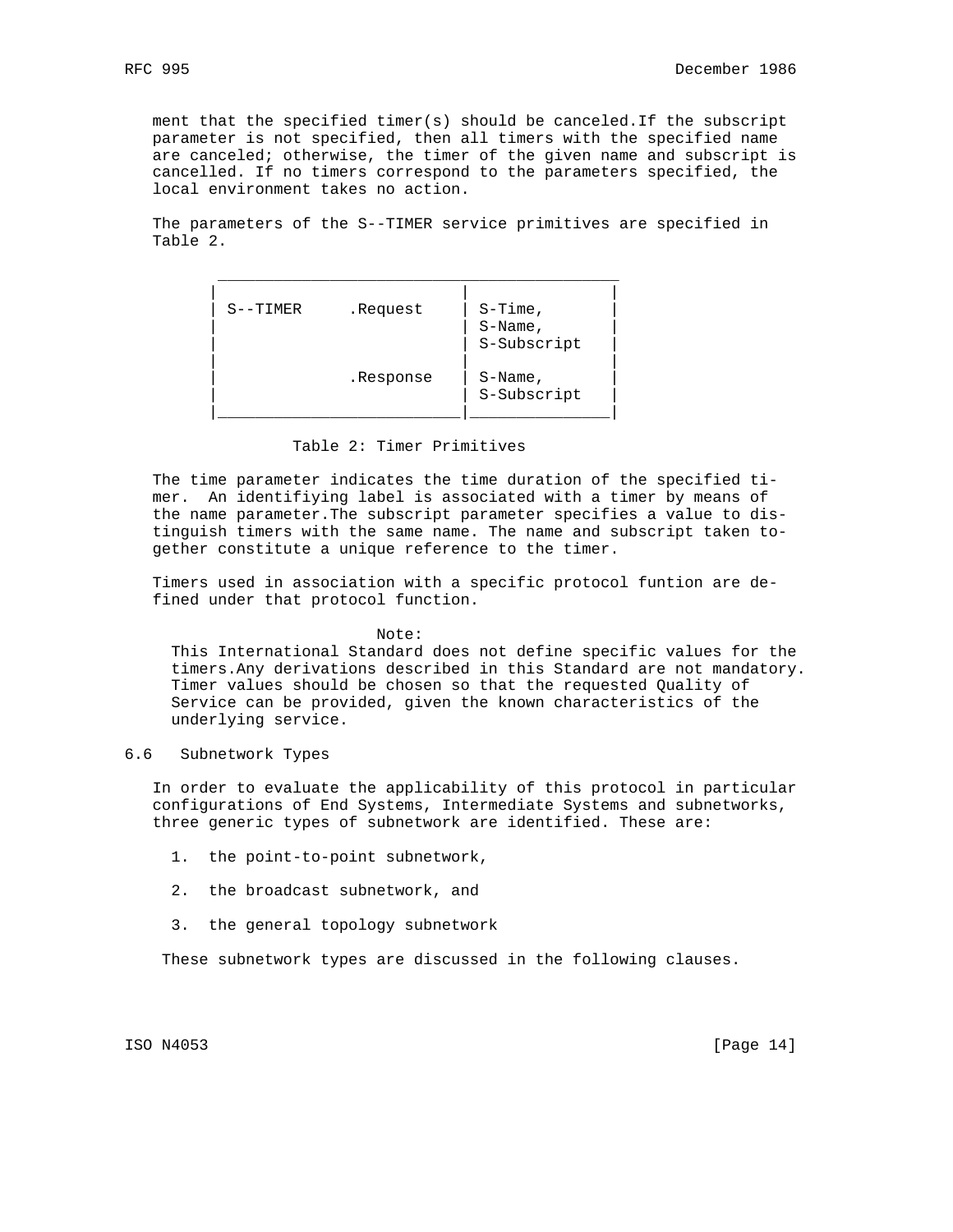ment that the specified timer(s) should be canceled.If the subscript parameter is not specified, then all timers with the specified name are canceled; otherwise, the timer of the given name and subscript is cancelled. If no timers correspond to the parameters specified, the local environment takes no action.

 The parameters of the S--TIMER service primitives are specified in Table 2.

| $S-$ -TIMER | .Request  | $S-Time,$   |  |
|-------------|-----------|-------------|--|
|             |           | $S-Name$ ,  |  |
|             |           | S-Subscript |  |
|             |           |             |  |
|             | .Response | $S-Name$ ,  |  |
|             |           | S-Subscript |  |
|             |           |             |  |

#### Table 2: Timer Primitives

 The time parameter indicates the time duration of the specified ti mer. An identifiying label is associated with a timer by means of the name parameter.The subscript parameter specifies a value to dis tinguish timers with the same name. The name and subscript taken to gether constitute a unique reference to the timer.

 Timers used in association with a specific protocol funtion are de fined under that protocol function.

#### Note:

 This International Standard does not define specific values for the timers.Any derivations described in this Standard are not mandatory. Timer values should be chosen so that the requested Quality of Service can be provided, given the known characteristics of the underlying service.

#### 6.6 Subnetwork Types

 In order to evaluate the applicability of this protocol in particular configurations of End Systems, Intermediate Systems and subnetworks, three generic types of subnetwork are identified. These are:

- 1. the point-to-point subnetwork,
- 2. the broadcast subnetwork, and
- 3. the general topology subnetwork

These subnetwork types are discussed in the following clauses.

ISO N4053 [Page 14]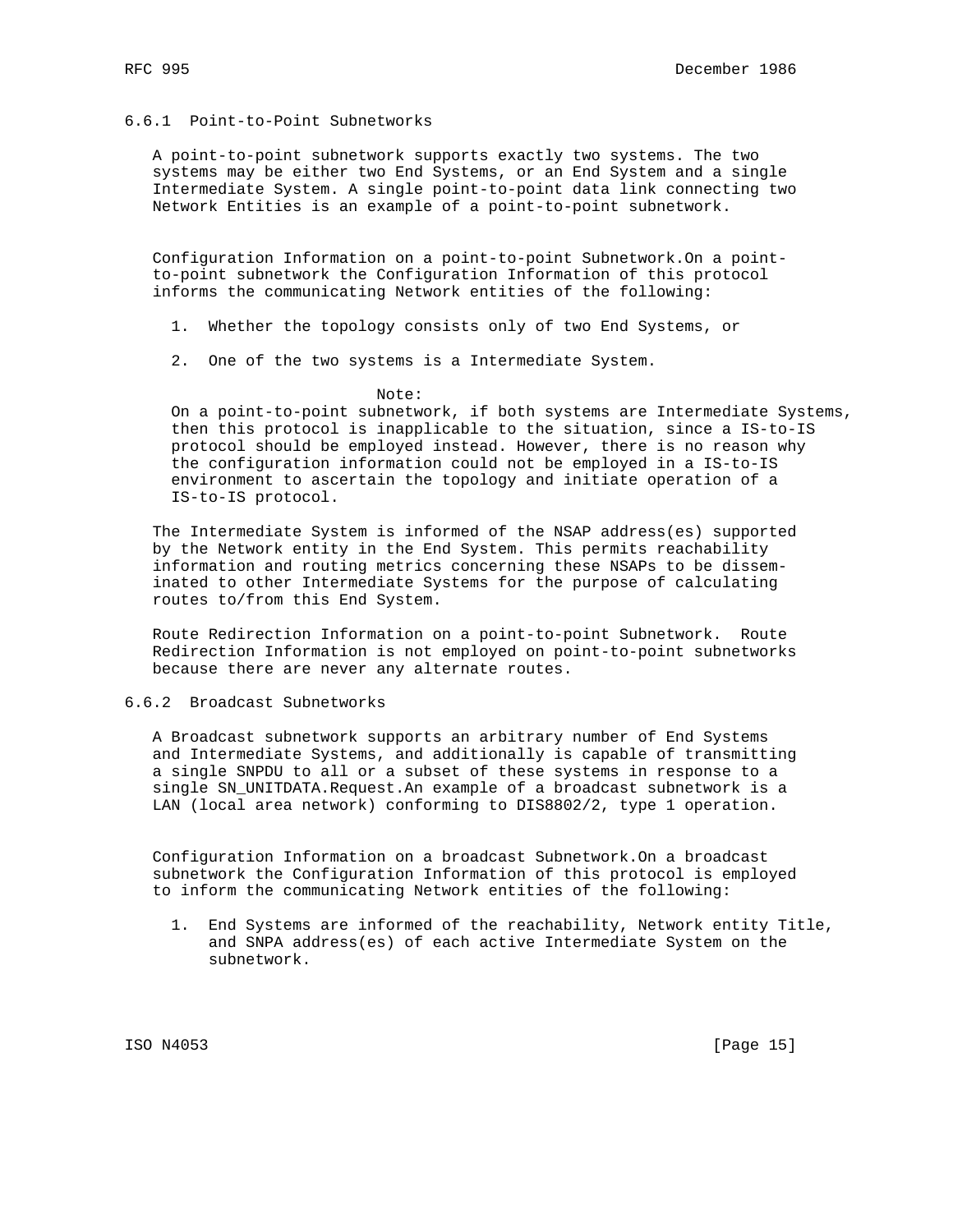## 6.6.1 Point-to-Point Subnetworks

 A point-to-point subnetwork supports exactly two systems. The two systems may be either two End Systems, or an End System and a single Intermediate System. A single point-to-point data link connecting two Network Entities is an example of a point-to-point subnetwork.

 Configuration Information on a point-to-point Subnetwork.On a point to-point subnetwork the Configuration Information of this protocol informs the communicating Network entities of the following:

1. Whether the topology consists only of two End Systems, or

2. One of the two systems is a Intermediate System.

Note:

 On a point-to-point subnetwork, if both systems are Intermediate Systems, then this protocol is inapplicable to the situation, since a IS-to-IS protocol should be employed instead. However, there is no reason why the configuration information could not be employed in a IS-to-IS environment to ascertain the topology and initiate operation of a IS-to-IS protocol.

 The Intermediate System is informed of the NSAP address(es) supported by the Network entity in the End System. This permits reachability information and routing metrics concerning these NSAPs to be dissem inated to other Intermediate Systems for the purpose of calculating routes to/from this End System.

 Route Redirection Information on a point-to-point Subnetwork. Route Redirection Information is not employed on point-to-point subnetworks because there are never any alternate routes.

## 6.6.2 Broadcast Subnetworks

 A Broadcast subnetwork supports an arbitrary number of End Systems and Intermediate Systems, and additionally is capable of transmitting a single SNPDU to all or a subset of these systems in response to a single SN\_UNITDATA.Request.An example of a broadcast subnetwork is a LAN (local area network) conforming to DIS8802/2, type 1 operation.

 Configuration Information on a broadcast Subnetwork.On a broadcast subnetwork the Configuration Information of this protocol is employed to inform the communicating Network entities of the following:

 1. End Systems are informed of the reachability, Network entity Title, and SNPA address(es) of each active Intermediate System on the subnetwork.

ISO N4053 [Page 15]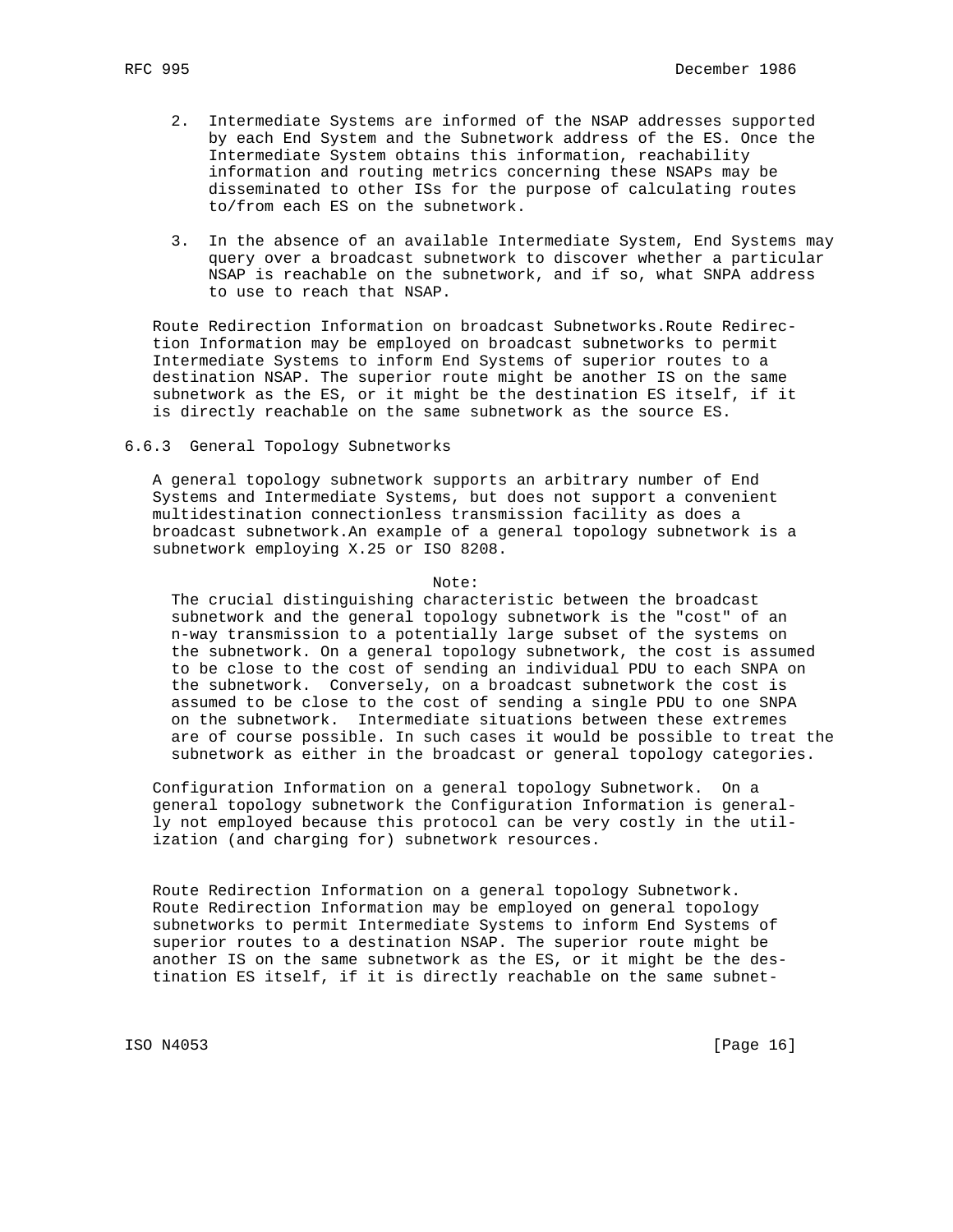- 2. Intermediate Systems are informed of the NSAP addresses supported by each End System and the Subnetwork address of the ES. Once the Intermediate System obtains this information, reachability information and routing metrics concerning these NSAPs may be disseminated to other ISs for the purpose of calculating routes to/from each ES on the subnetwork.
- 3. In the absence of an available Intermediate System, End Systems may query over a broadcast subnetwork to discover whether a particular NSAP is reachable on the subnetwork, and if so, what SNPA address to use to reach that NSAP.

 Route Redirection Information on broadcast Subnetworks.Route Redirec tion Information may be employed on broadcast subnetworks to permit Intermediate Systems to inform End Systems of superior routes to a destination NSAP. The superior route might be another IS on the same subnetwork as the ES, or it might be the destination ES itself, if it is directly reachable on the same subnetwork as the source ES.

6.6.3 General Topology Subnetworks

 A general topology subnetwork supports an arbitrary number of End Systems and Intermediate Systems, but does not support a convenient multidestination connectionless transmission facility as does a broadcast subnetwork.An example of a general topology subnetwork is a subnetwork employing X.25 or ISO 8208.

Note:

 The crucial distinguishing characteristic between the broadcast subnetwork and the general topology subnetwork is the "cost" of an n-way transmission to a potentially large subset of the systems on the subnetwork. On a general topology subnetwork, the cost is assumed to be close to the cost of sending an individual PDU to each SNPA on the subnetwork. Conversely, on a broadcast subnetwork the cost is assumed to be close to the cost of sending a single PDU to one SNPA on the subnetwork. Intermediate situations between these extremes are of course possible. In such cases it would be possible to treat the subnetwork as either in the broadcast or general topology categories.

 Configuration Information on a general topology Subnetwork. On a general topology subnetwork the Configuration Information is general ly not employed because this protocol can be very costly in the util ization (and charging for) subnetwork resources.

 Route Redirection Information on a general topology Subnetwork. Route Redirection Information may be employed on general topology subnetworks to permit Intermediate Systems to inform End Systems of superior routes to a destination NSAP. The superior route might be another IS on the same subnetwork as the ES, or it might be the des tination ES itself, if it is directly reachable on the same subnet-

ISO N4053 [Page 16]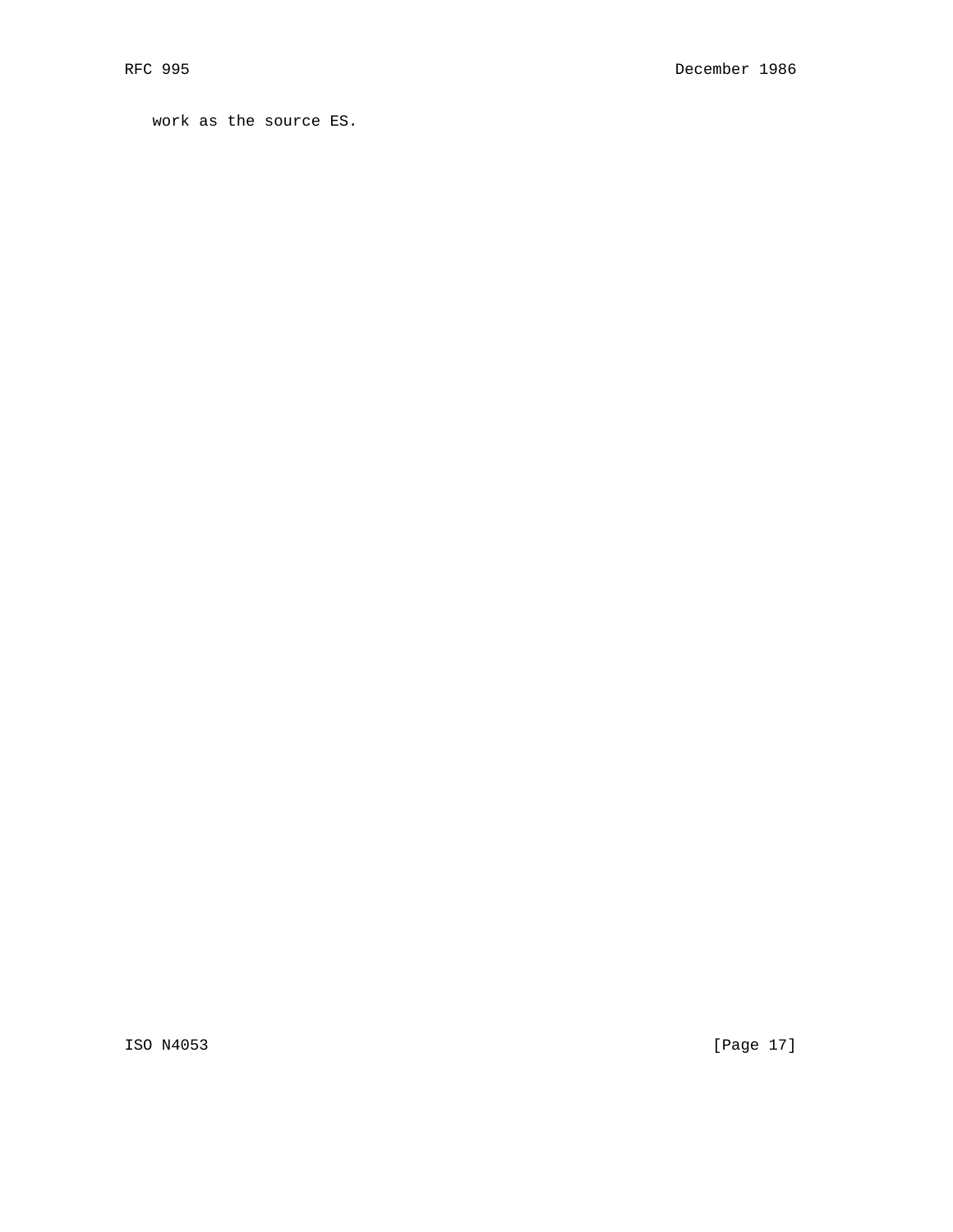work as the source ES.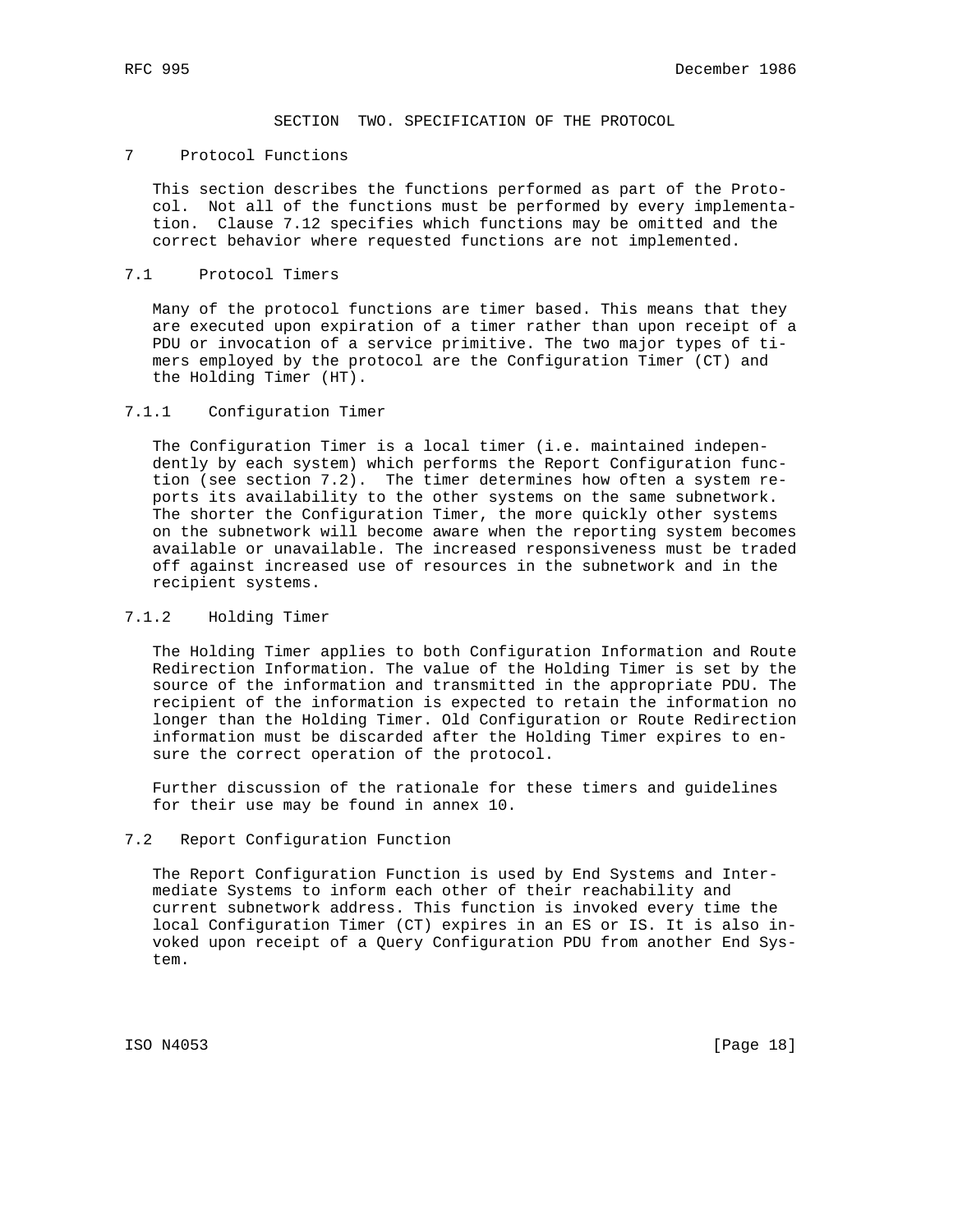SECTION TWO. SPECIFICATION OF THE PROTOCOL

## 7 Protocol Functions

 This section describes the functions performed as part of the Proto col. Not all of the functions must be performed by every implementa tion. Clause 7.12 specifies which functions may be omitted and the correct behavior where requested functions are not implemented.

### 7.1 Protocol Timers

 Many of the protocol functions are timer based. This means that they are executed upon expiration of a timer rather than upon receipt of a PDU or invocation of a service primitive. The two major types of ti mers employed by the protocol are the Configuration Timer (CT) and the Holding Timer (HT).

### 7.1.1 Configuration Timer

 The Configuration Timer is a local timer (i.e. maintained indepen dently by each system) which performs the Report Configuration func tion (see section 7.2). The timer determines how often a system re ports its availability to the other systems on the same subnetwork. The shorter the Configuration Timer, the more quickly other systems on the subnetwork will become aware when the reporting system becomes available or unavailable. The increased responsiveness must be traded off against increased use of resources in the subnetwork and in the recipient systems.

### 7.1.2 Holding Timer

 The Holding Timer applies to both Configuration Information and Route Redirection Information. The value of the Holding Timer is set by the source of the information and transmitted in the appropriate PDU. The recipient of the information is expected to retain the information no longer than the Holding Timer. Old Configuration or Route Redirection information must be discarded after the Holding Timer expires to en sure the correct operation of the protocol.

 Further discussion of the rationale for these timers and guidelines for their use may be found in annex 10.

#### 7.2 Report Configuration Function

 The Report Configuration Function is used by End Systems and Inter mediate Systems to inform each other of their reachability and current subnetwork address. This function is invoked every time the local Configuration Timer (CT) expires in an ES or IS. It is also in voked upon receipt of a Query Configuration PDU from another End Sys tem.

ISO N4053 [Page 18]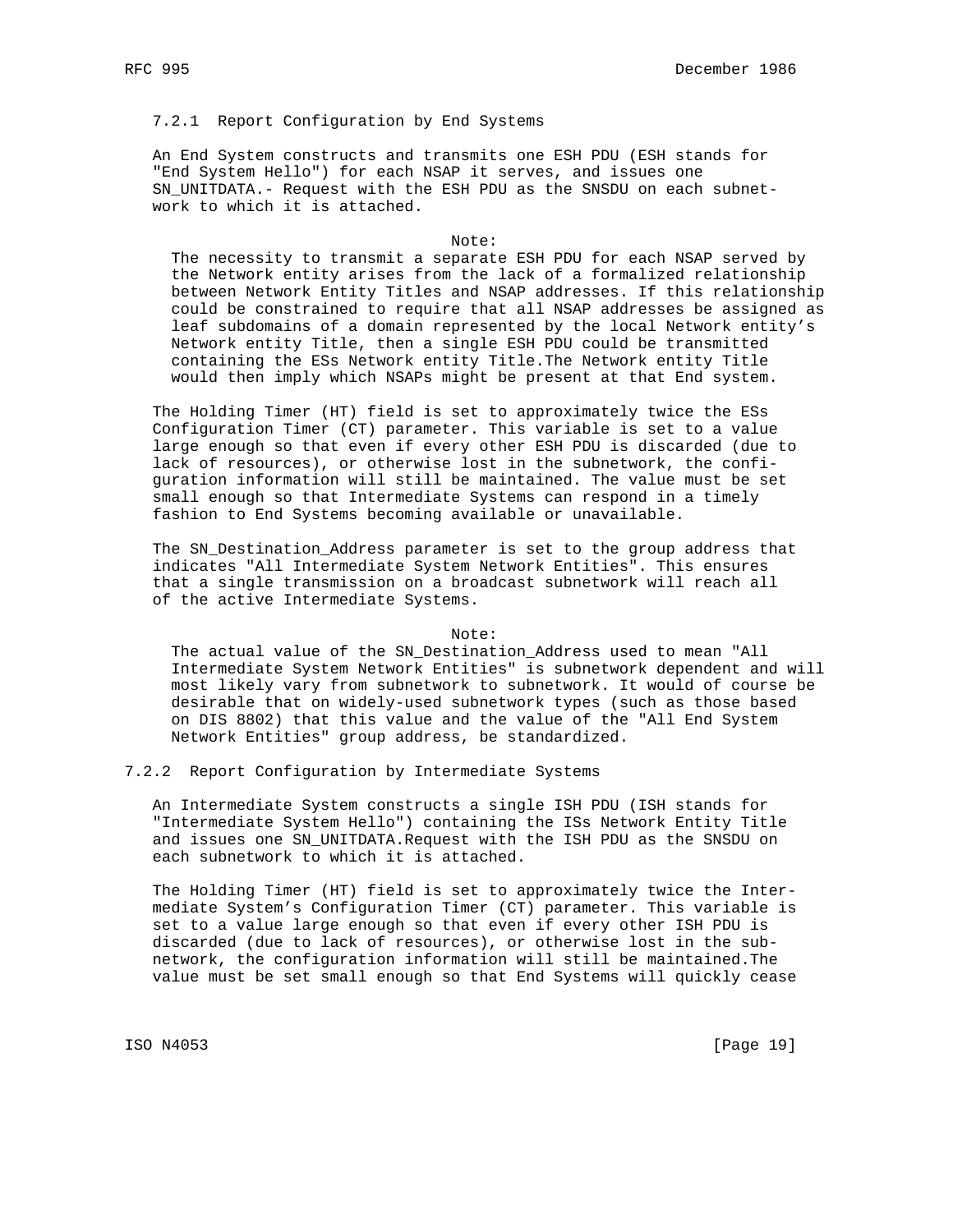## 7.2.1 Report Configuration by End Systems

 An End System constructs and transmits one ESH PDU (ESH stands for "End System Hello") for each NSAP it serves, and issues one SN\_UNITDATA.- Request with the ESH PDU as the SNSDU on each subnet work to which it is attached.

#### Note:

 The necessity to transmit a separate ESH PDU for each NSAP served by the Network entity arises from the lack of a formalized relationship between Network Entity Titles and NSAP addresses. If this relationship could be constrained to require that all NSAP addresses be assigned as leaf subdomains of a domain represented by the local Network entity's Network entity Title, then a single ESH PDU could be transmitted containing the ESs Network entity Title.The Network entity Title would then imply which NSAPs might be present at that End system.

 The Holding Timer (HT) field is set to approximately twice the ESs Configuration Timer (CT) parameter. This variable is set to a value large enough so that even if every other ESH PDU is discarded (due to lack of resources), or otherwise lost in the subnetwork, the confi guration information will still be maintained. The value must be set small enough so that Intermediate Systems can respond in a timely fashion to End Systems becoming available or unavailable.

 The SN\_Destination\_Address parameter is set to the group address that indicates "All Intermediate System Network Entities". This ensures that a single transmission on a broadcast subnetwork will reach all of the active Intermediate Systems.

#### Note:

 The actual value of the SN\_Destination\_Address used to mean "All Intermediate System Network Entities" is subnetwork dependent and will most likely vary from subnetwork to subnetwork. It would of course be desirable that on widely-used subnetwork types (such as those based on DIS 8802) that this value and the value of the "All End System Network Entities" group address, be standardized.

### 7.2.2 Report Configuration by Intermediate Systems

 An Intermediate System constructs a single ISH PDU (ISH stands for "Intermediate System Hello") containing the ISs Network Entity Title and issues one SN\_UNITDATA.Request with the ISH PDU as the SNSDU on each subnetwork to which it is attached.

 The Holding Timer (HT) field is set to approximately twice the Inter mediate System's Configuration Timer (CT) parameter. This variable is set to a value large enough so that even if every other ISH PDU is discarded (due to lack of resources), or otherwise lost in the sub network, the configuration information will still be maintained.The value must be set small enough so that End Systems will quickly cease

ISO N4053 [Page 19]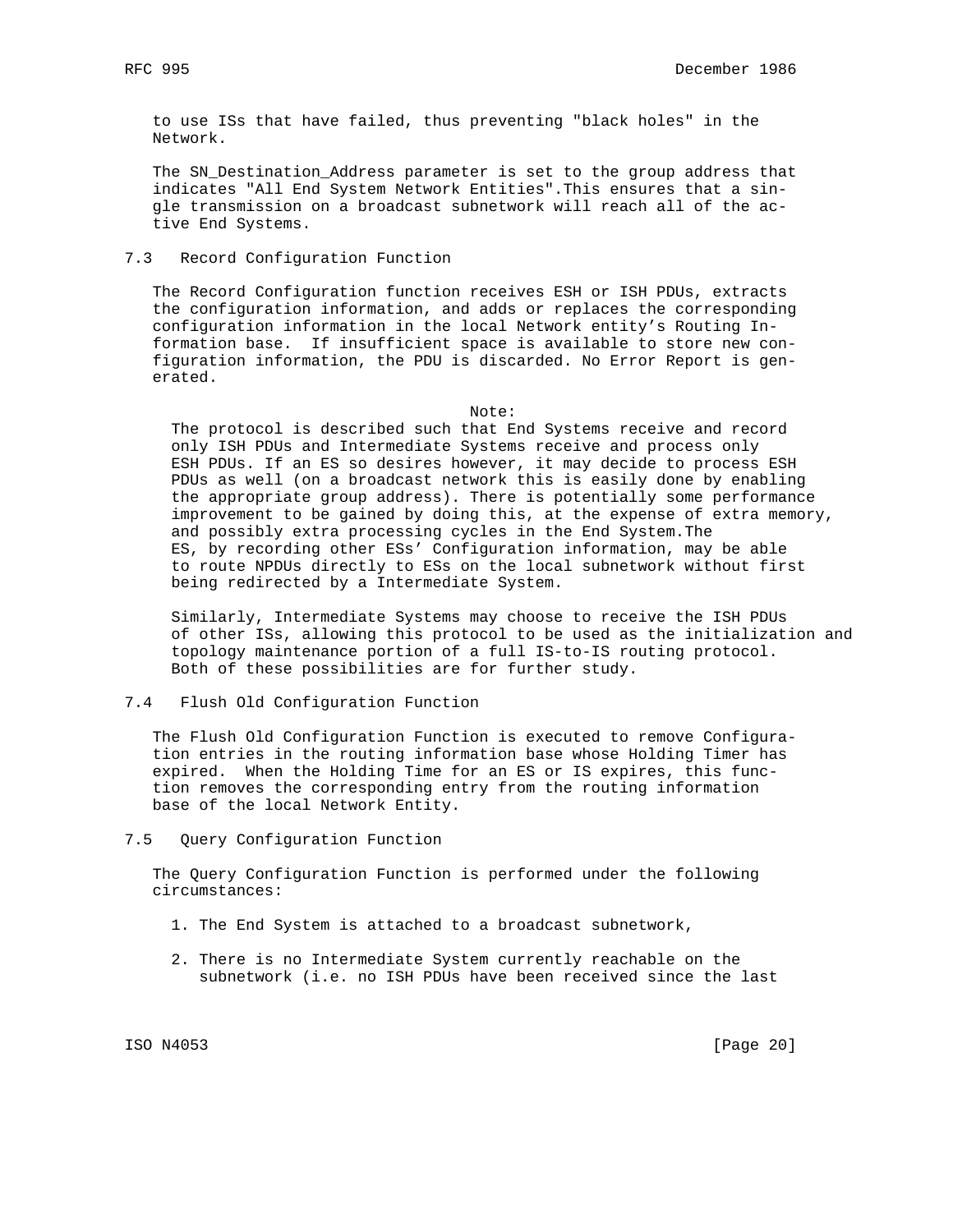to use ISs that have failed, thus preventing "black holes" in the Network.

 The SN\_Destination\_Address parameter is set to the group address that indicates "All End System Network Entities".This ensures that a sin gle transmission on a broadcast subnetwork will reach all of the ac tive End Systems.

7.3 Record Configuration Function

 The Record Configuration function receives ESH or ISH PDUs, extracts the configuration information, and adds or replaces the corresponding configuration information in the local Network entity's Routing In formation base. If insufficient space is available to store new con figuration information, the PDU is discarded. No Error Report is gen erated.

Note:

 The protocol is described such that End Systems receive and record only ISH PDUs and Intermediate Systems receive and process only ESH PDUs. If an ES so desires however, it may decide to process ESH PDUs as well (on a broadcast network this is easily done by enabling the appropriate group address). There is potentially some performance improvement to be gained by doing this, at the expense of extra memory, and possibly extra processing cycles in the End System.The ES, by recording other ESs' Configuration information, may be able to route NPDUs directly to ESs on the local subnetwork without first being redirected by a Intermediate System.

 Similarly, Intermediate Systems may choose to receive the ISH PDUs of other ISs, allowing this protocol to be used as the initialization and topology maintenance portion of a full IS-to-IS routing protocol. Both of these possibilities are for further study.

#### 7.4 Flush Old Configuration Function

 The Flush Old Configuration Function is executed to remove Configura tion entries in the routing information base whose Holding Timer has expired. When the Holding Time for an ES or IS expires, this func tion removes the corresponding entry from the routing information base of the local Network Entity.

7.5 Query Configuration Function

 The Query Configuration Function is performed under the following circumstances:

- 1. The End System is attached to a broadcast subnetwork,
- 2. There is no Intermediate System currently reachable on the subnetwork (i.e. no ISH PDUs have been received since the last

ISO N4053 [Page 20]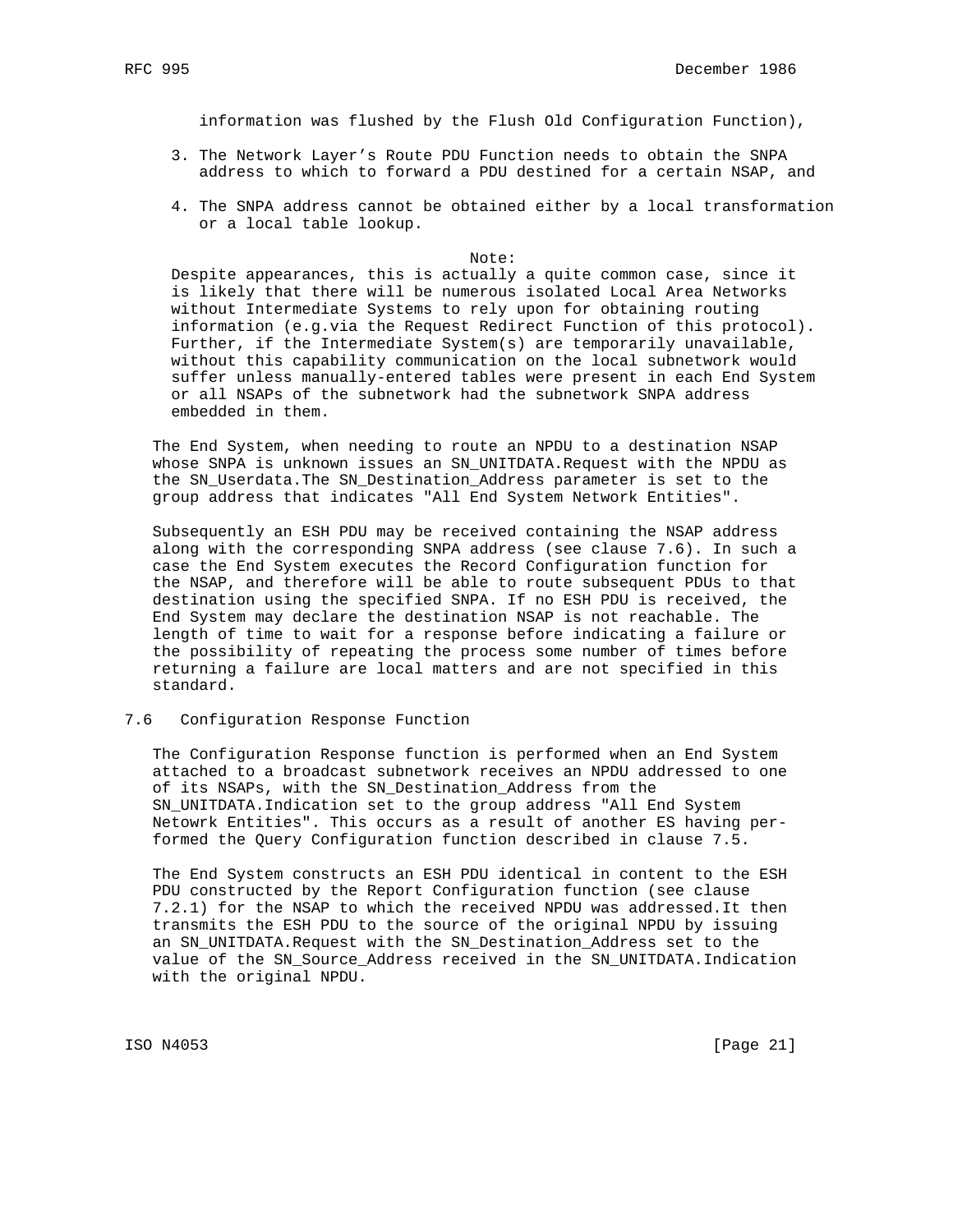information was flushed by the Flush Old Configuration Function),

- 3. The Network Layer's Route PDU Function needs to obtain the SNPA address to which to forward a PDU destined for a certain NSAP, and
- 4. The SNPA address cannot be obtained either by a local transformation or a local table lookup.

#### Note:

 Despite appearances, this is actually a quite common case, since it is likely that there will be numerous isolated Local Area Networks without Intermediate Systems to rely upon for obtaining routing information (e.g.via the Request Redirect Function of this protocol). Further, if the Intermediate System(s) are temporarily unavailable, without this capability communication on the local subnetwork would suffer unless manually-entered tables were present in each End System or all NSAPs of the subnetwork had the subnetwork SNPA address embedded in them.

 The End System, when needing to route an NPDU to a destination NSAP whose SNPA is unknown issues an SN\_UNITDATA.Request with the NPDU as the SN\_Userdata.The SN\_Destination\_Address parameter is set to the group address that indicates "All End System Network Entities".

 Subsequently an ESH PDU may be received containing the NSAP address along with the corresponding SNPA address (see clause 7.6). In such a case the End System executes the Record Configuration function for the NSAP, and therefore will be able to route subsequent PDUs to that destination using the specified SNPA. If no ESH PDU is received, the End System may declare the destination NSAP is not reachable. The length of time to wait for a response before indicating a failure or the possibility of repeating the process some number of times before returning a failure are local matters and are not specified in this standard.

### 7.6 Configuration Response Function

 The Configuration Response function is performed when an End System attached to a broadcast subnetwork receives an NPDU addressed to one of its NSAPs, with the SN\_Destination\_Address from the SN\_UNITDATA.Indication set to the group address "All End System Netowrk Entities". This occurs as a result of another ES having per formed the Query Configuration function described in clause 7.5.

 The End System constructs an ESH PDU identical in content to the ESH PDU constructed by the Report Configuration function (see clause 7.2.1) for the NSAP to which the received NPDU was addressed.It then transmits the ESH PDU to the source of the original NPDU by issuing an SN\_UNITDATA.Request with the SN\_Destination\_Address set to the value of the SN\_Source\_Address received in the SN\_UNITDATA.Indication with the original NPDU.

ISO N4053 [Page 21]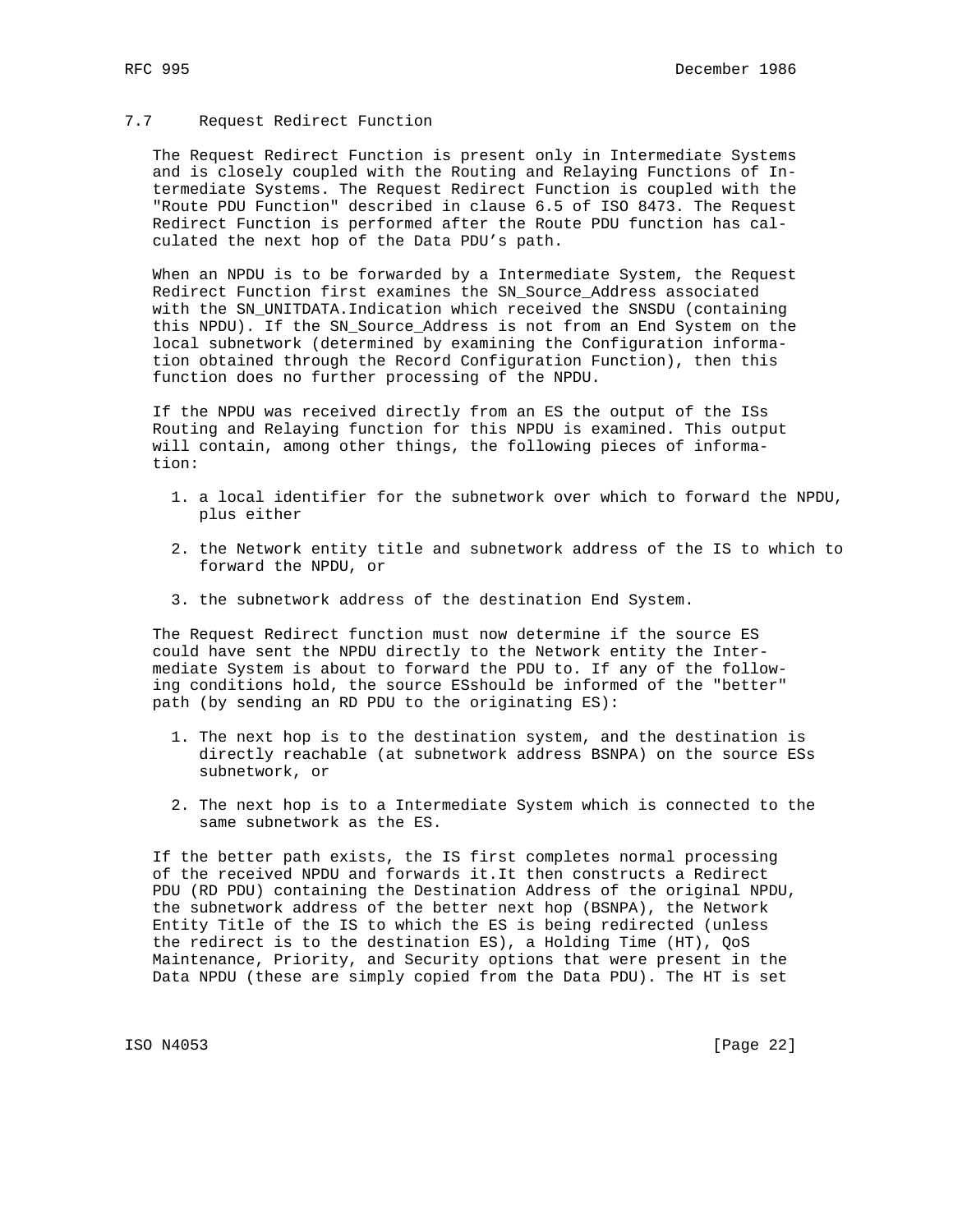## 7.7 Request Redirect Function

 The Request Redirect Function is present only in Intermediate Systems and is closely coupled with the Routing and Relaying Functions of In termediate Systems. The Request Redirect Function is coupled with the "Route PDU Function" described in clause 6.5 of ISO 8473. The Request Redirect Function is performed after the Route PDU function has cal culated the next hop of the Data PDU's path.

 When an NPDU is to be forwarded by a Intermediate System, the Request Redirect Function first examines the SN\_Source\_Address associated with the SN\_UNITDATA.Indication which received the SNSDU (containing this NPDU). If the SN\_Source\_Address is not from an End System on the local subnetwork (determined by examining the Configuration informa tion obtained through the Record Configuration Function), then this function does no further processing of the NPDU.

 If the NPDU was received directly from an ES the output of the ISs Routing and Relaying function for this NPDU is examined. This output will contain, among other things, the following pieces of informa tion:

- 1. a local identifier for the subnetwork over which to forward the NPDU, plus either
- 2. the Network entity title and subnetwork address of the IS to which to forward the NPDU, or
- 3. the subnetwork address of the destination End System.

 The Request Redirect function must now determine if the source ES could have sent the NPDU directly to the Network entity the Inter mediate System is about to forward the PDU to. If any of the follow ing conditions hold, the source ESshould be informed of the "better" path (by sending an RD PDU to the originating ES):

- 1. The next hop is to the destination system, and the destination is directly reachable (at subnetwork address BSNPA) on the source ESs subnetwork, or
- 2. The next hop is to a Intermediate System which is connected to the same subnetwork as the ES.

 If the better path exists, the IS first completes normal processing of the received NPDU and forwards it.It then constructs a Redirect PDU (RD PDU) containing the Destination Address of the original NPDU, the subnetwork address of the better next hop (BSNPA), the Network Entity Title of the IS to which the ES is being redirected (unless the redirect is to the destination ES), a Holding Time (HT), QoS Maintenance, Priority, and Security options that were present in the Data NPDU (these are simply copied from the Data PDU). The HT is set

ISO N4053 [Page 22]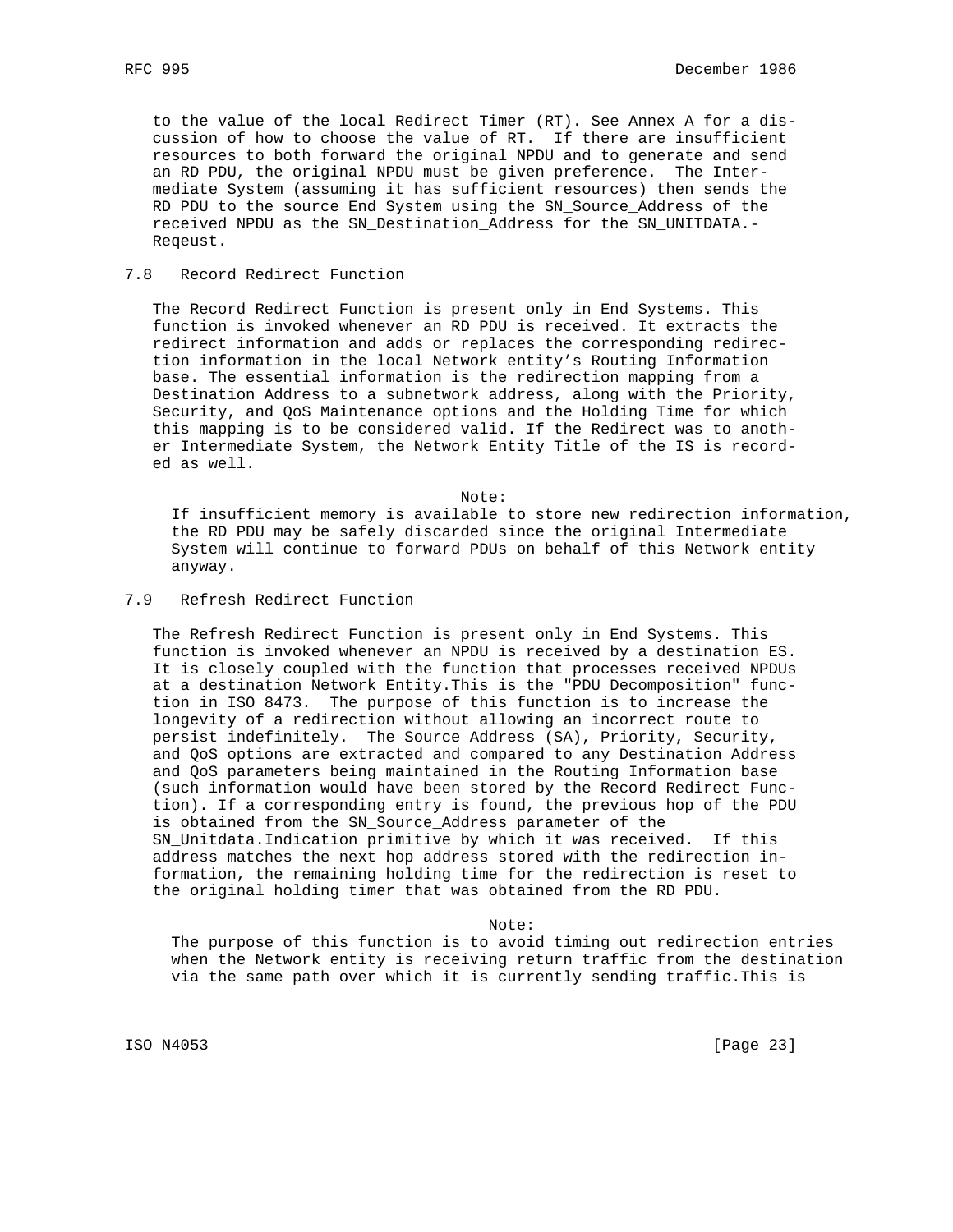to the value of the local Redirect Timer (RT). See Annex A for a dis cussion of how to choose the value of RT. If there are insufficient resources to both forward the original NPDU and to generate and send an RD PDU, the original NPDU must be given preference. The Inter mediate System (assuming it has sufficient resources) then sends the RD PDU to the source End System using the SN\_Source\_Address of the received NPDU as the SN\_Destination\_Address for the SN\_UNITDATA.- Reqeust.

### 7.8 Record Redirect Function

 The Record Redirect Function is present only in End Systems. This function is invoked whenever an RD PDU is received. It extracts the redirect information and adds or replaces the corresponding redirec tion information in the local Network entity's Routing Information base. The essential information is the redirection mapping from a Destination Address to a subnetwork address, along with the Priority, Security, and QoS Maintenance options and the Holding Time for which this mapping is to be considered valid. If the Redirect was to anoth er Intermediate System, the Network Entity Title of the IS is record ed as well.

Note:

 If insufficient memory is available to store new redirection information, the RD PDU may be safely discarded since the original Intermediate System will continue to forward PDUs on behalf of this Network entity anyway.

### 7.9 Refresh Redirect Function

 The Refresh Redirect Function is present only in End Systems. This function is invoked whenever an NPDU is received by a destination ES. It is closely coupled with the function that processes received NPDUs at a destination Network Entity.This is the "PDU Decomposition" func tion in ISO 8473. The purpose of this function is to increase the longevity of a redirection without allowing an incorrect route to persist indefinitely. The Source Address (SA), Priority, Security, and QoS options are extracted and compared to any Destination Address and QoS parameters being maintained in the Routing Information base (such information would have been stored by the Record Redirect Func tion). If a corresponding entry is found, the previous hop of the PDU is obtained from the SN\_Source\_Address parameter of the SN\_Unitdata.Indication primitive by which it was received. If this address matches the next hop address stored with the redirection in formation, the remaining holding time for the redirection is reset to the original holding timer that was obtained from the RD PDU.

Note:

 The purpose of this function is to avoid timing out redirection entries when the Network entity is receiving return traffic from the destination via the same path over which it is currently sending traffic.This is

ISO N4053 [Page 23]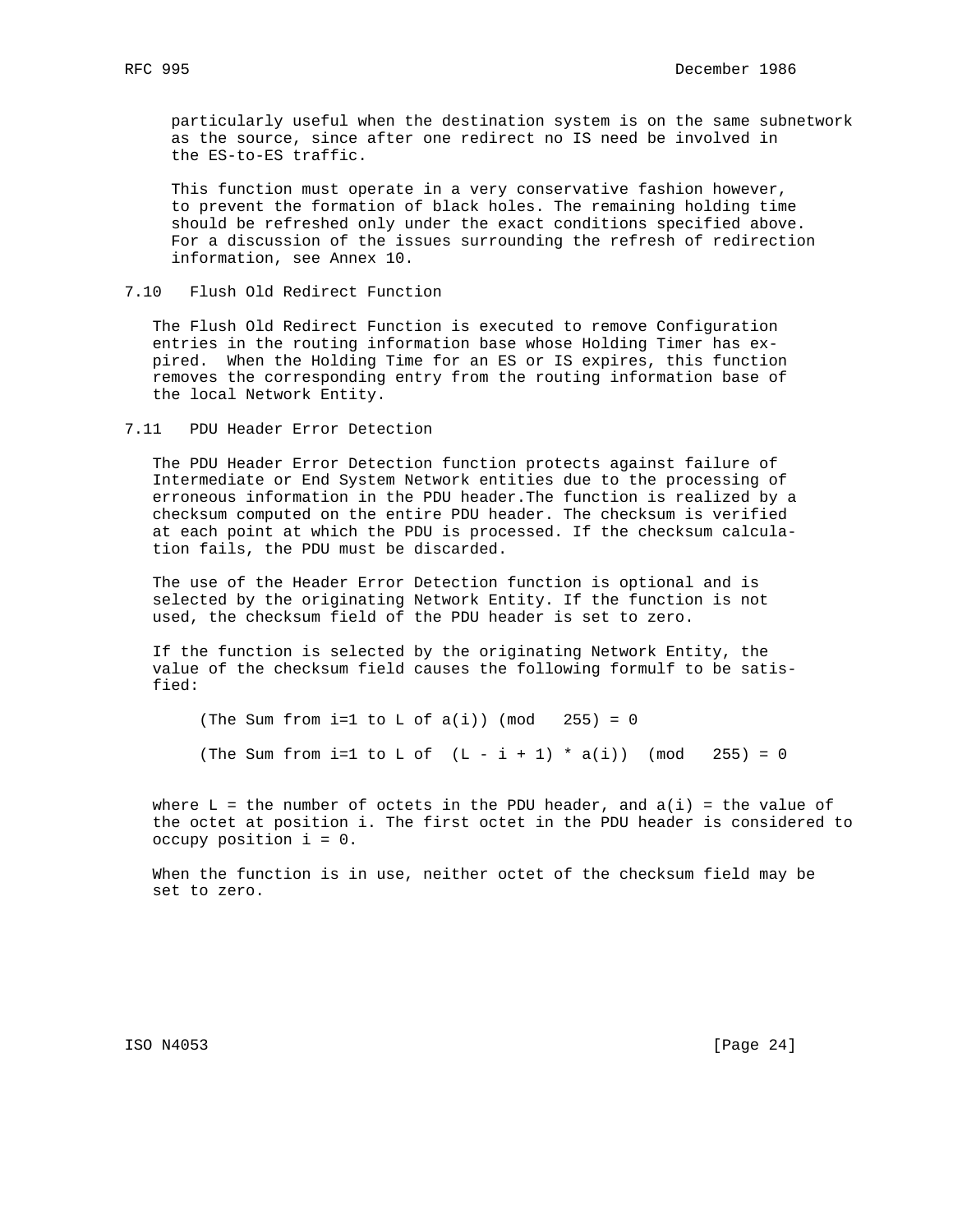particularly useful when the destination system is on the same subnetwork as the source, since after one redirect no IS need be involved in the ES-to-ES traffic.

 This function must operate in a very conservative fashion however, to prevent the formation of black holes. The remaining holding time should be refreshed only under the exact conditions specified above. For a discussion of the issues surrounding the refresh of redirection information, see Annex 10.

7.10 Flush Old Redirect Function

 The Flush Old Redirect Function is executed to remove Configuration entries in the routing information base whose Holding Timer has ex pired. When the Holding Time for an ES or IS expires, this function removes the corresponding entry from the routing information base of the local Network Entity.

### 7.11 PDU Header Error Detection

 The PDU Header Error Detection function protects against failure of Intermediate or End System Network entities due to the processing of erroneous information in the PDU header.The function is realized by a checksum computed on the entire PDU header. The checksum is verified at each point at which the PDU is processed. If the checksum calcula tion fails, the PDU must be discarded.

 The use of the Header Error Detection function is optional and is selected by the originating Network Entity. If the function is not used, the checksum field of the PDU header is set to zero.

 If the function is selected by the originating Network Entity, the value of the checksum field causes the following formulf to be satis fied:

(The Sum from i=1 to L of  $a(i)$ ) (mod 255) = 0 (The Sum from i=1 to L of  $(L - i + 1) * a(i)$ ) (mod 255) = 0

where  $L = the number of octets in the PDU header, and  $a(i) = the value of$$  the octet at position i. The first octet in the PDU header is considered to occupy position i = 0.

 When the function is in use, neither octet of the checksum field may be set to zero.

ISO N4053 [Page 24]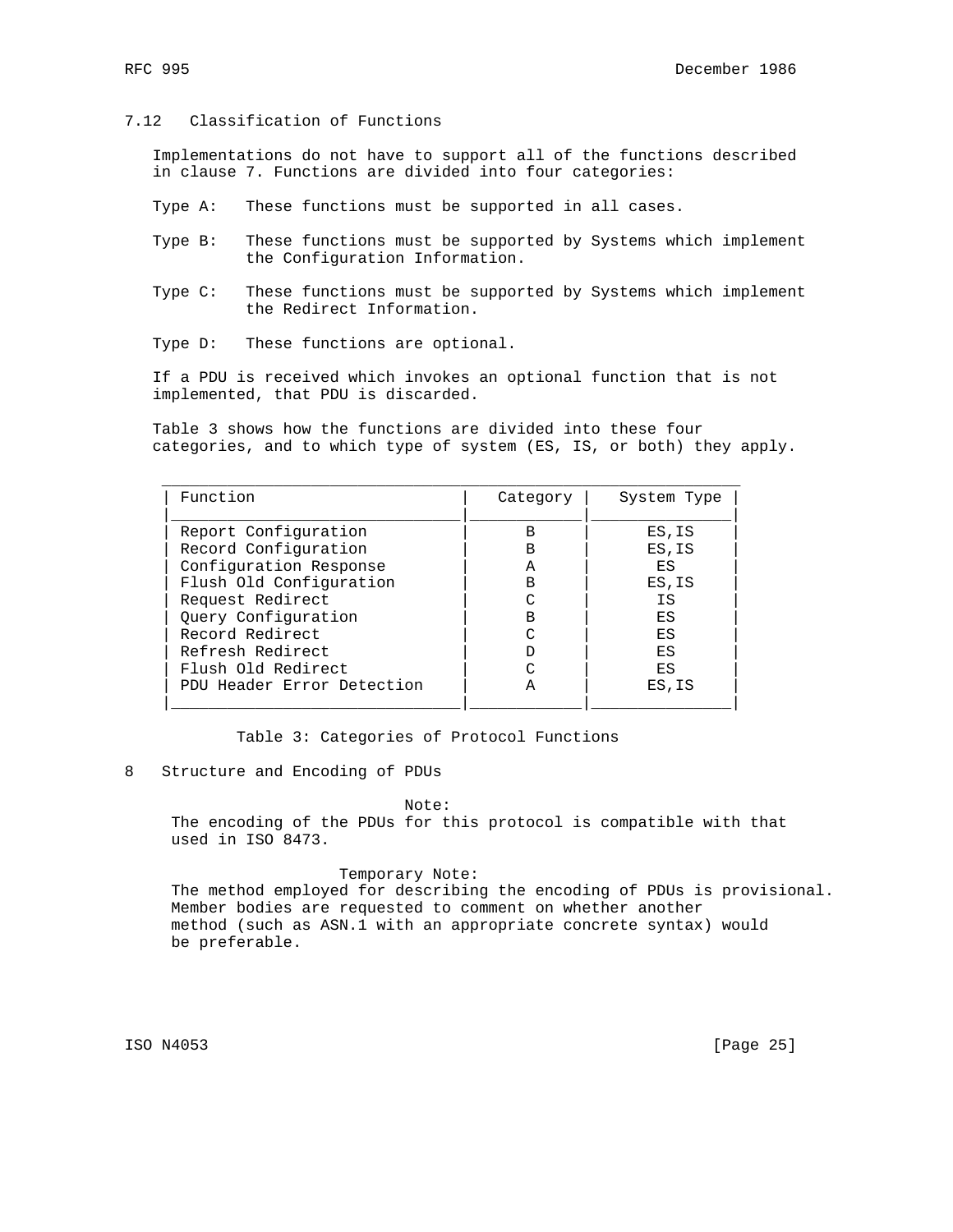## 7.12 Classification of Functions

 Implementations do not have to support all of the functions described in clause 7. Functions are divided into four categories:

- Type A: These functions must be supported in all cases.
- Type B: These functions must be supported by Systems which implement the Configuration Information.
- Type C: These functions must be supported by Systems which implement the Redirect Information.
- Type D: These functions are optional.

 If a PDU is received which invokes an optional function that is not implemented, that PDU is discarded.

 Table 3 shows how the functions are divided into these four categories, and to which type of system (ES, IS, or both) they apply.

| Category | System Type |
|----------|-------------|
| В        | ES, IS      |
| B        | ES, IS      |
| А        | ES          |
| B        | ES, IS      |
|          | ΙS          |
| B        | ES          |
| $\sim$   | ES          |
|          | ES          |
|          | ES          |
|          | ES, IS      |
|          |             |

Table 3: Categories of Protocol Functions

8 Structure and Encoding of PDUs

#### Note:

 The encoding of the PDUs for this protocol is compatible with that used in ISO 8473.

#### Temporary Note:

 The method employed for describing the encoding of PDUs is provisional. Member bodies are requested to comment on whether another method (such as ASN.1 with an appropriate concrete syntax) would be preferable.

ISO N4053 [Page 25]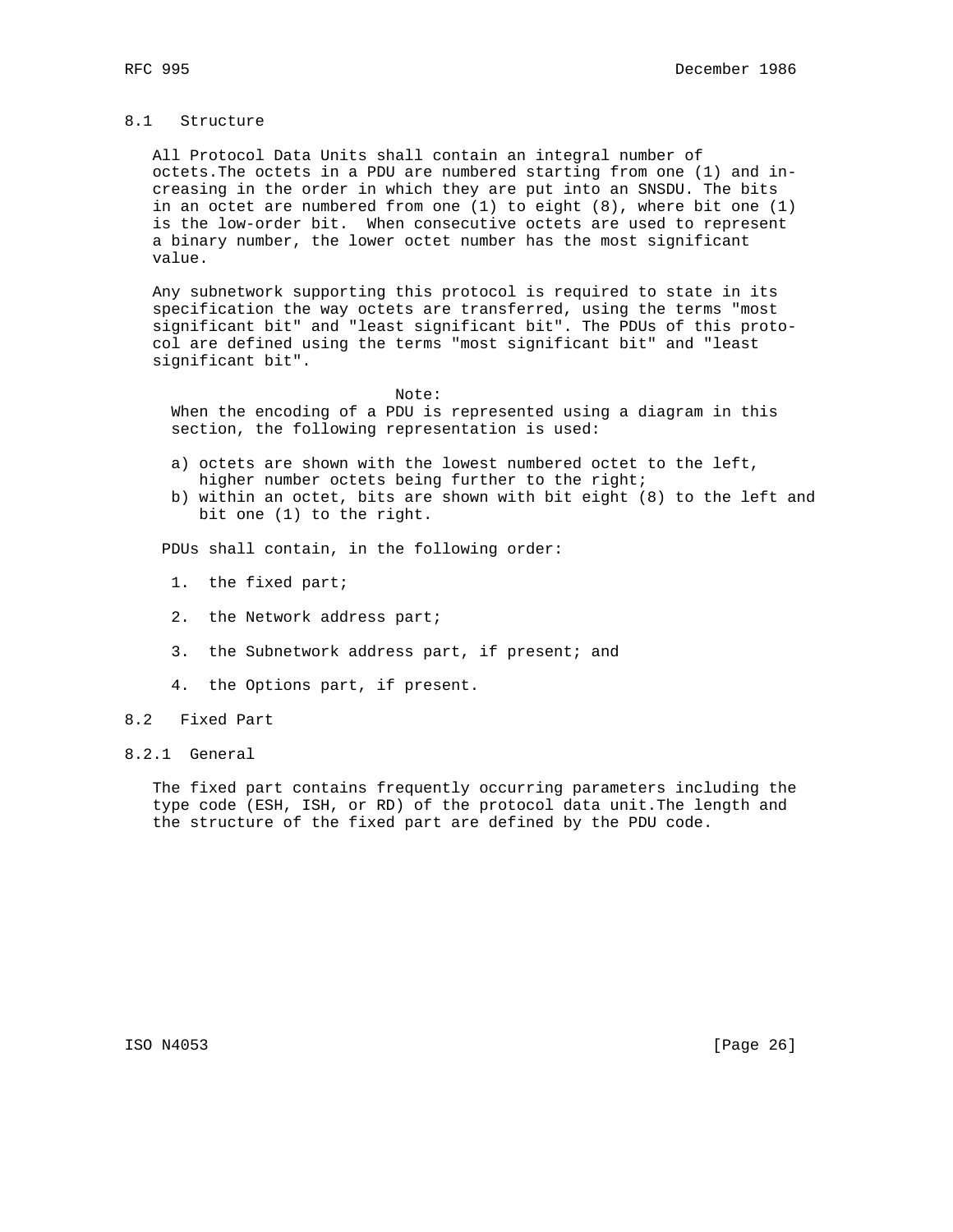#### 8.1 Structure

 All Protocol Data Units shall contain an integral number of octets.The octets in a PDU are numbered starting from one (1) and in creasing in the order in which they are put into an SNSDU. The bits in an octet are numbered from one (1) to eight (8), where bit one (1) is the low-order bit. When consecutive octets are used to represent a binary number, the lower octet number has the most significant value.

 Any subnetwork supporting this protocol is required to state in its specification the way octets are transferred, using the terms "most significant bit" and "least significant bit". The PDUs of this proto col are defined using the terms "most significant bit" and "least significant bit".

#### Note:

 When the encoding of a PDU is represented using a diagram in this section, the following representation is used:

- a) octets are shown with the lowest numbered octet to the left, higher number octets being further to the right;
- b) within an octet, bits are shown with bit eight (8) to the left and bit one (1) to the right.

PDUs shall contain, in the following order:

- 1. the fixed part;
- 2. the Network address part;
- 3. the Subnetwork address part, if present; and
- 4. the Options part, if present.
- 8.2 Fixed Part
- 8.2.1 General

 The fixed part contains frequently occurring parameters including the type code (ESH, ISH, or RD) of the protocol data unit.The length and the structure of the fixed part are defined by the PDU code.

ISO N4053 [Page 26]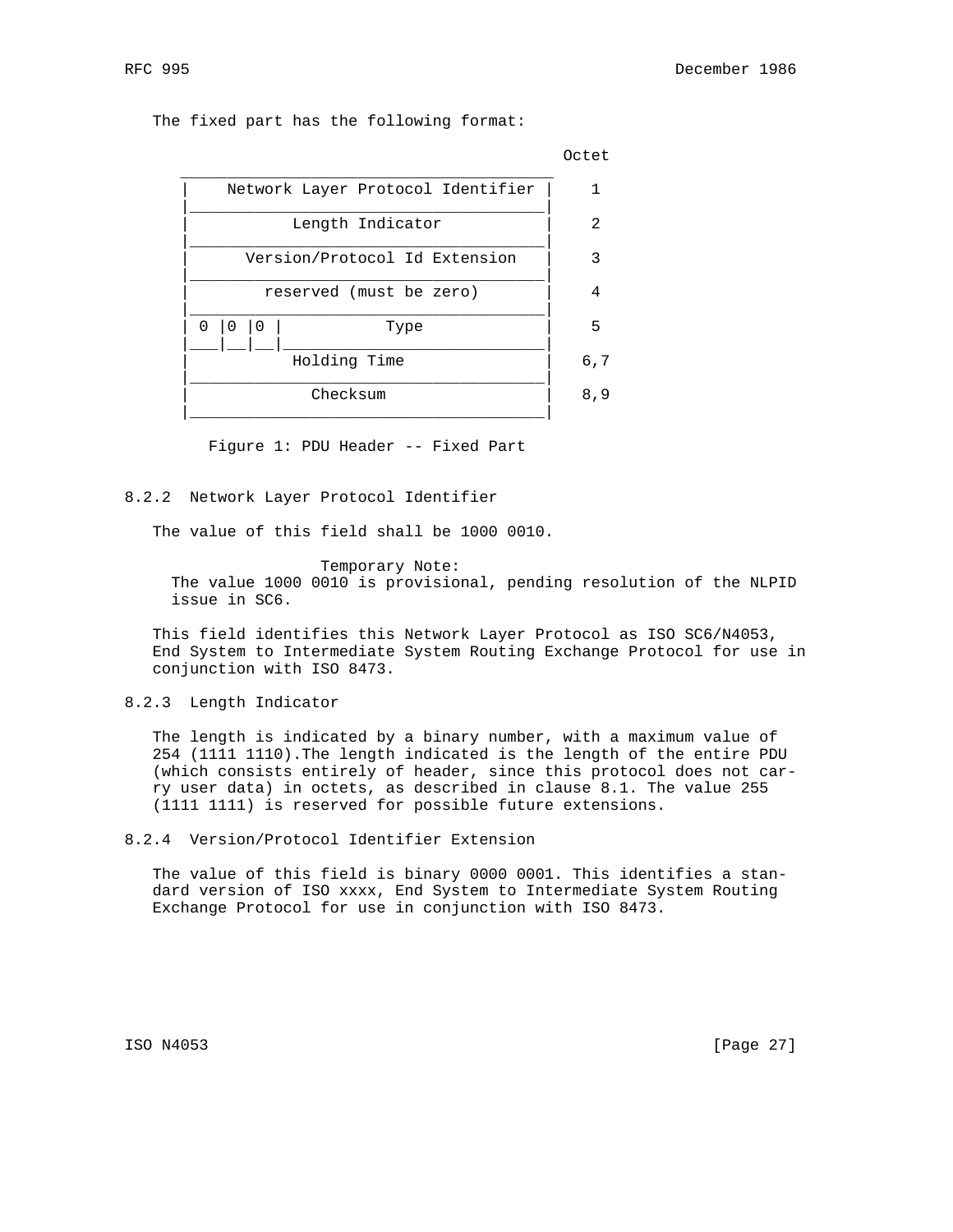The fixed part has the following format:



Figure 1: PDU Header -- Fixed Part

8.2.2 Network Layer Protocol Identifier

The value of this field shall be 1000 0010.

 Temporary Note: The value 1000 0010 is provisional, pending resolution of the NLPID issue in SC6.

 This field identifies this Network Layer Protocol as ISO SC6/N4053, End System to Intermediate System Routing Exchange Protocol for use in conjunction with ISO 8473.

#### 8.2.3 Length Indicator

 The length is indicated by a binary number, with a maximum value of 254 (1111 1110).The length indicated is the length of the entire PDU (which consists entirely of header, since this protocol does not car ry user data) in octets, as described in clause 8.1. The value 255 (1111 1111) is reserved for possible future extensions.

8.2.4 Version/Protocol Identifier Extension

 The value of this field is binary 0000 0001. This identifies a stan dard version of ISO xxxx, End System to Intermediate System Routing Exchange Protocol for use in conjunction with ISO 8473.

ISO N4053 [Page 27]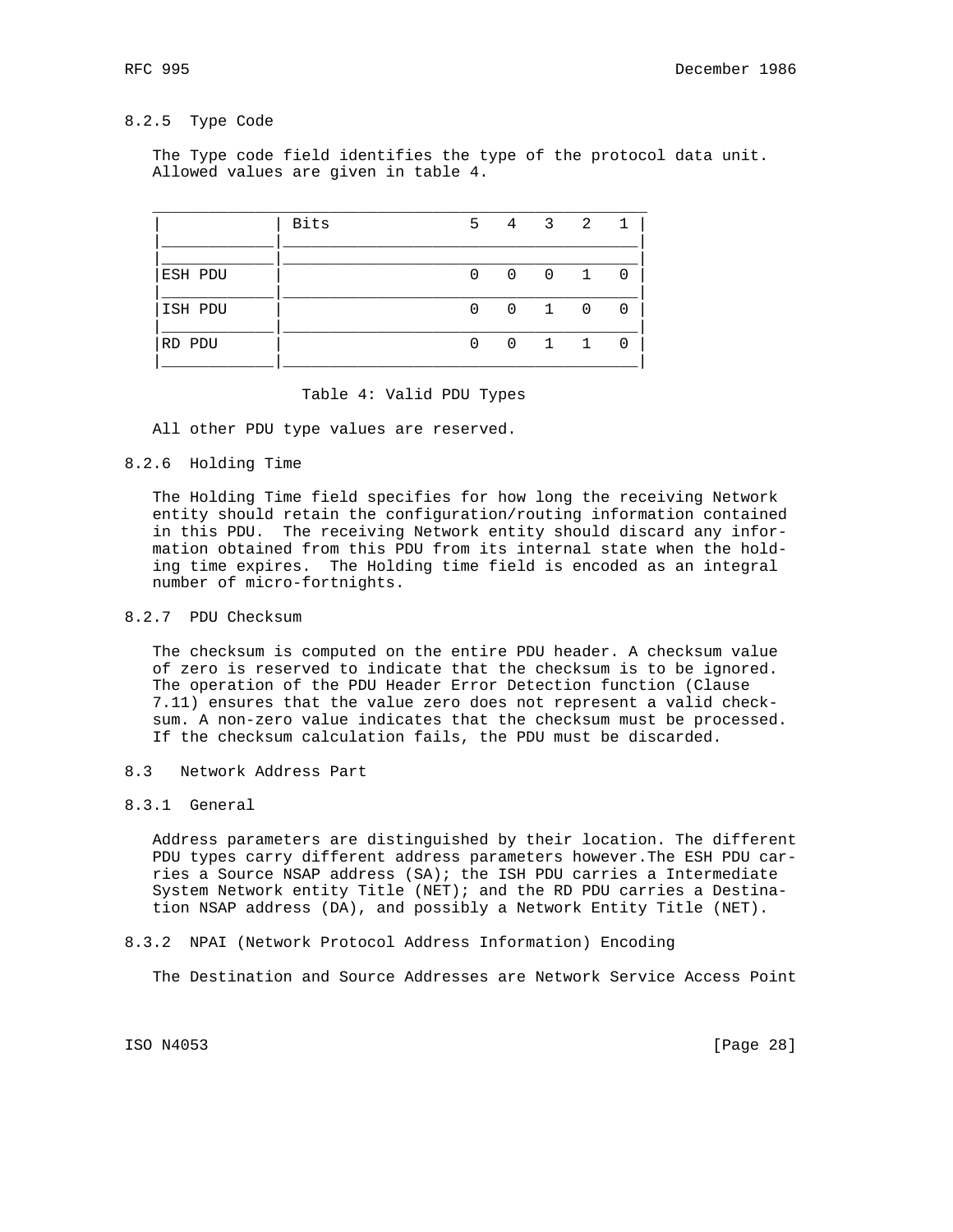## 8.2.5 Type Code

 The Type code field identifies the type of the protocol data unit. Allowed values are given in table 4.

|         | <b>Bits</b> | 5.           |                | 4 3 2         |  |
|---------|-------------|--------------|----------------|---------------|--|
|         |             |              |                |               |  |
| ESH PDU |             | <sup>n</sup> |                | $0 \t 0 \t 1$ |  |
| ISH PDU |             |              | $\overline{0}$ | $1 \t 0$      |  |
| RD PDU  |             | ∩            | $\cap$         | $1 \quad 1$   |  |
|         |             |              |                |               |  |

#### Table 4: Valid PDU Types

All other PDU type values are reserved.

8.2.6 Holding Time

 The Holding Time field specifies for how long the receiving Network entity should retain the configuration/routing information contained in this PDU. The receiving Network entity should discard any infor mation obtained from this PDU from its internal state when the hold ing time expires. The Holding time field is encoded as an integral number of micro-fortnights.

### 8.2.7 PDU Checksum

 The checksum is computed on the entire PDU header. A checksum value of zero is reserved to indicate that the checksum is to be ignored. The operation of the PDU Header Error Detection function (Clause 7.11) ensures that the value zero does not represent a valid check sum. A non-zero value indicates that the checksum must be processed. If the checksum calculation fails, the PDU must be discarded.

- 8.3 Network Address Part
- 8.3.1 General

 Address parameters are distinguished by their location. The different PDU types carry different address parameters however.The ESH PDU car ries a Source NSAP address (SA); the ISH PDU carries a Intermediate System Network entity Title (NET); and the RD PDU carries a Destina tion NSAP address (DA), and possibly a Network Entity Title (NET).

#### 8.3.2 NPAI (Network Protocol Address Information) Encoding

The Destination and Source Addresses are Network Service Access Point

ISO N4053 [Page 28]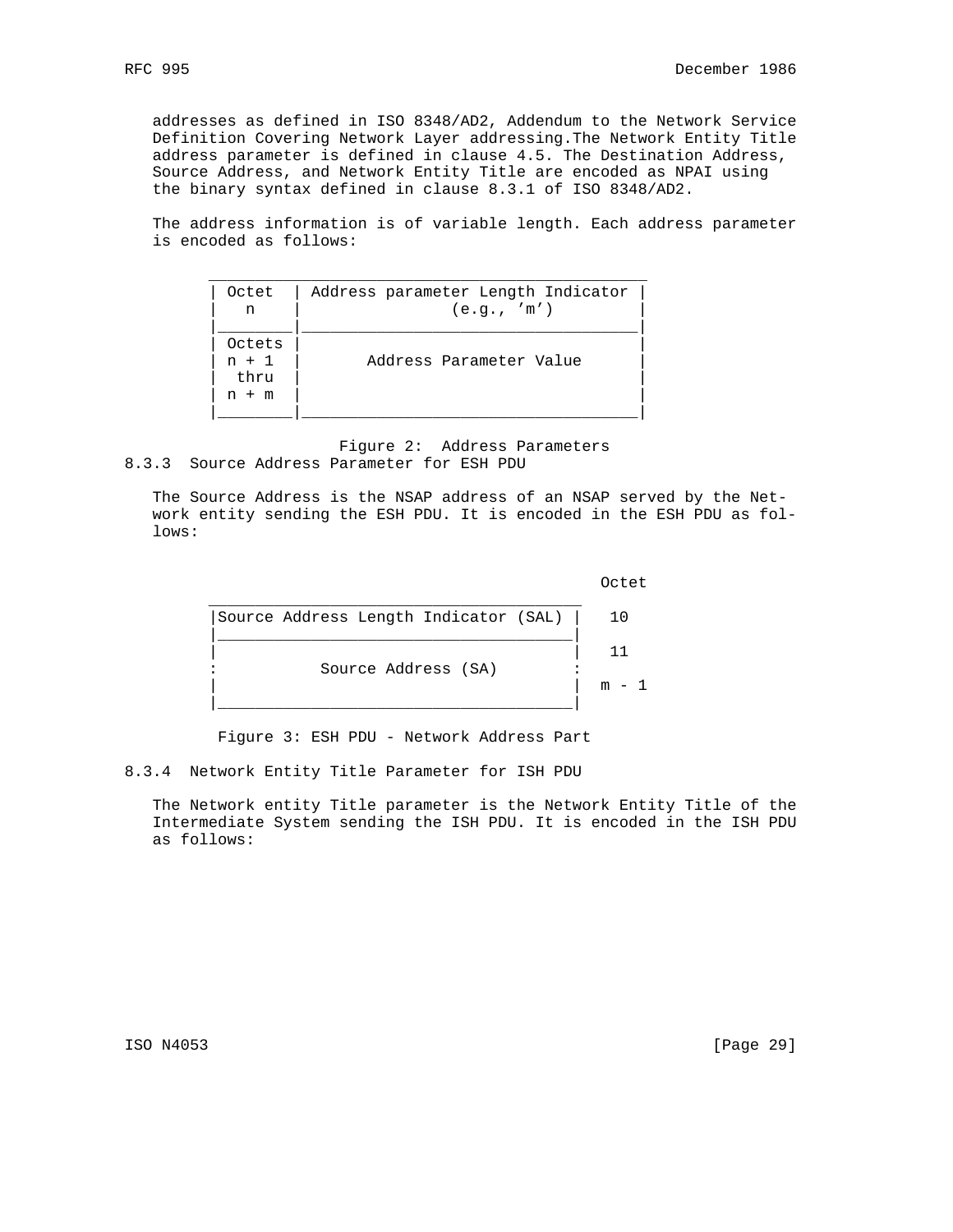addresses as defined in ISO 8348/AD2, Addendum to the Network Service Definition Covering Network Layer addressing.The Network Entity Title address parameter is defined in clause 4.5. The Destination Address, Source Address, and Network Entity Title are encoded as NPAI using the binary syntax defined in clause 8.3.1 of ISO 8348/AD2.

 The address information is of variable length. Each address parameter is encoded as follows:

| Octet                                | Address parameter Length Indicator |
|--------------------------------------|------------------------------------|
| n                                    | (e.g., 'm')                        |
| Octets<br>$n + 1$<br>thru<br>$n + m$ | Address Parameter Value            |
|                                      |                                    |

 Figure 2: Address Parameters 8.3.3 Source Address Parameter for ESH PDU

 The Source Address is the NSAP address of an NSAP served by the Net work entity sending the ESH PDU. It is encoded in the ESH PDU as fol lows:

**COLLECTION CONTROL** 

Figure 3: ESH PDU - Network Address Part

8.3.4 Network Entity Title Parameter for ISH PDU

 The Network entity Title parameter is the Network Entity Title of the Intermediate System sending the ISH PDU. It is encoded in the ISH PDU as follows:

ISO N4053 [Page 29]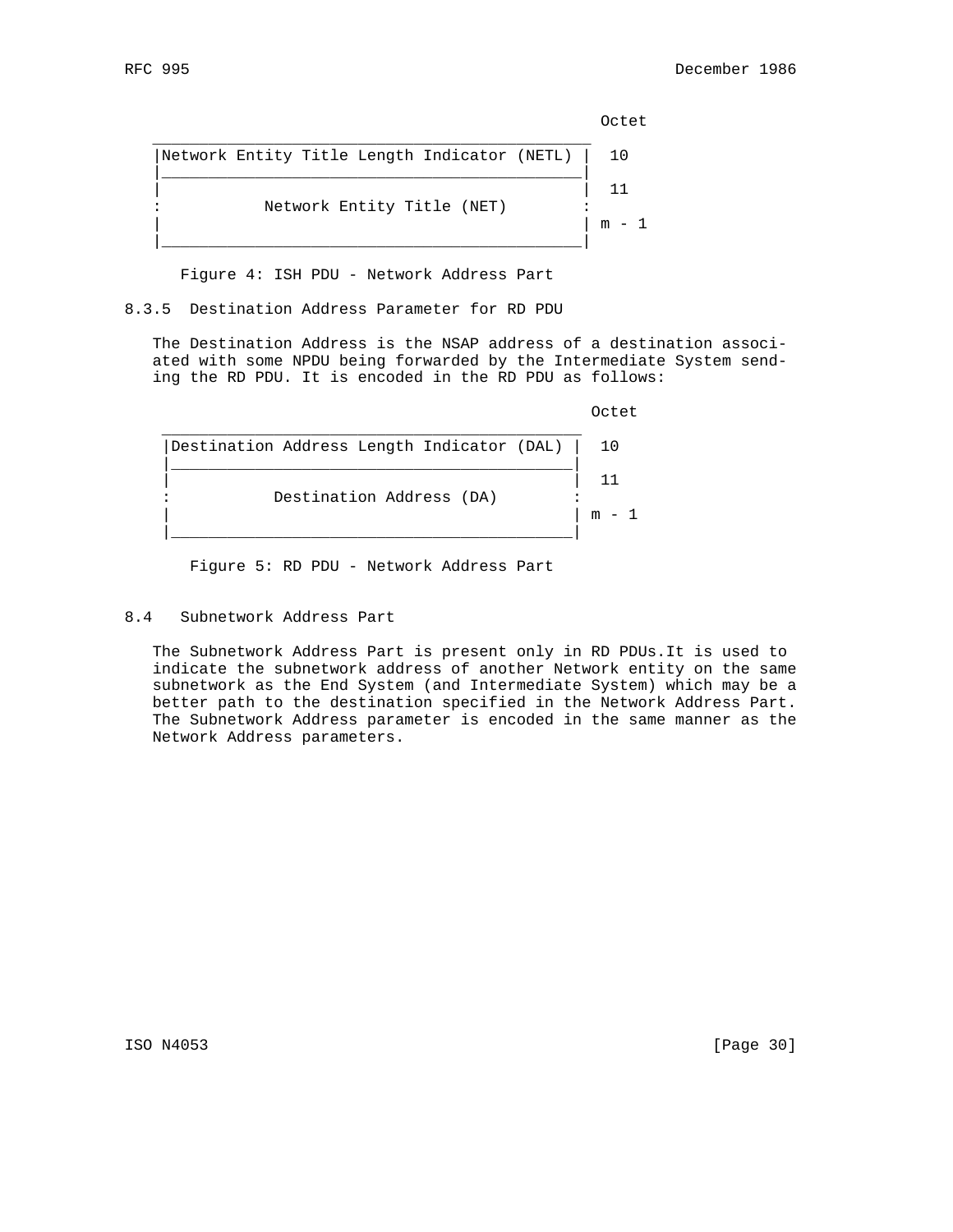**COLLECTION CONTROL** 

| Network Entity Title Length Indicator (NETL) | 10 |
|----------------------------------------------|----|
|                                              |    |
| Network Entity Title (NET)                   |    |

Figure 4: ISH PDU - Network Address Part

8.3.5 Destination Address Parameter for RD PDU

 The Destination Address is the NSAP address of a destination associ ated with some NPDU being forwarded by the Intermediate System send ing the RD PDU. It is encoded in the RD PDU as follows:

**COLLECTION CONTROL** 



Figure 5: RD PDU - Network Address Part

## 8.4 Subnetwork Address Part

 The Subnetwork Address Part is present only in RD PDUs.It is used to indicate the subnetwork address of another Network entity on the same subnetwork as the End System (and Intermediate System) which may be a better path to the destination specified in the Network Address Part. The Subnetwork Address parameter is encoded in the same manner as the Network Address parameters.

ISO N4053 [Page 30]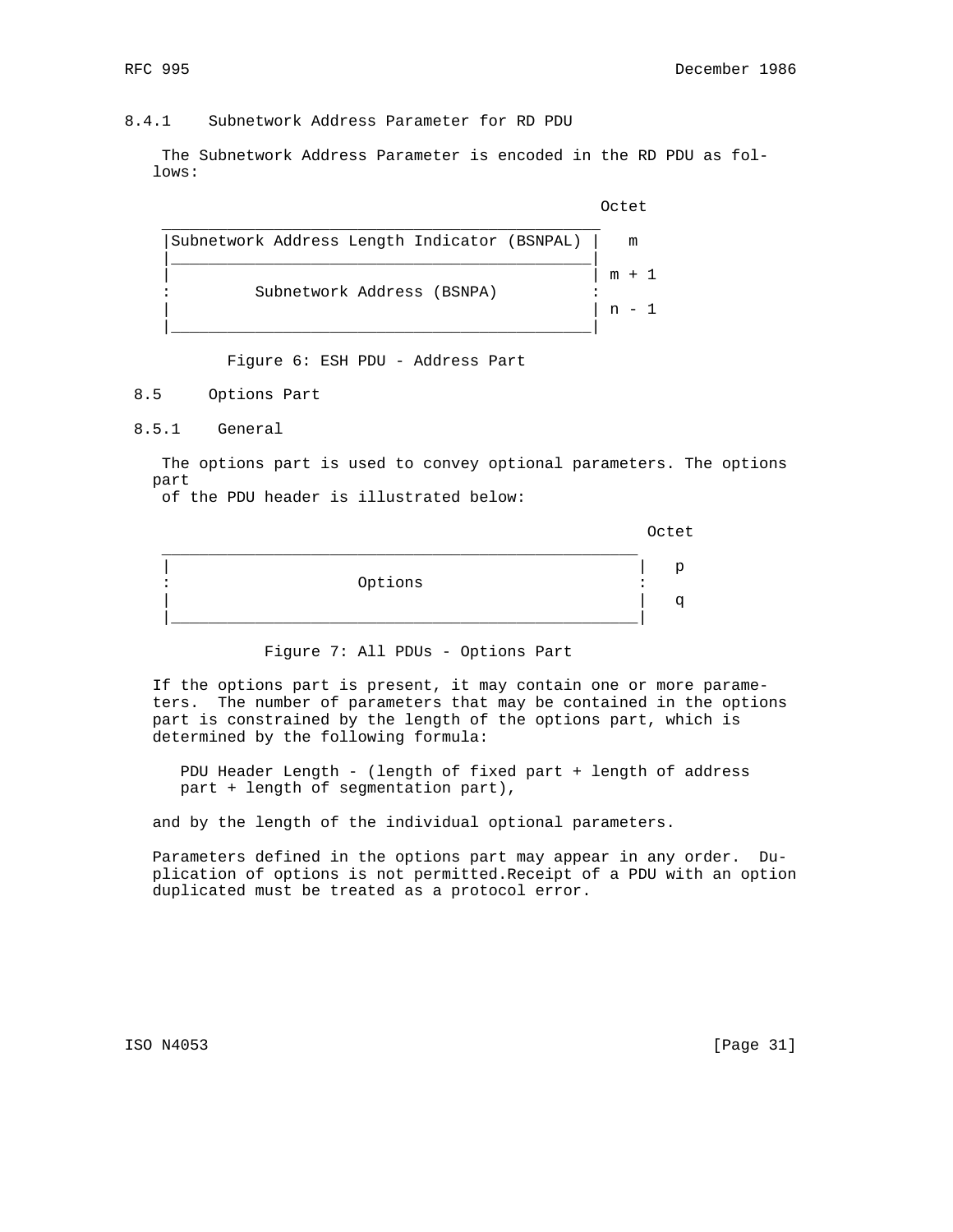## 8.4.1 Subnetwork Address Parameter for RD PDU

 The Subnetwork Address Parameter is encoded in the RD PDU as fol lows:

**CONTRACT CONTRACT CONTRACT CONTRACT CONTRACT CONTRACT CONTRACT CONTRACT CONTRACT CONTRACT CONTRACT CONTRACT CO** 



Figure 6: ESH PDU - Address Part

8.5 Options Part

8.5.1 General

 The options part is used to convey optional parameters. The options part

of the PDU header is illustrated below:

of the contract of the contract of the contract of the contract of the contract of the contract of the contract of the contract of the contract of the contract of the contract of the contract of the contract of the contrac

| Options |  |
|---------|--|
|         |  |
|         |  |

Figure 7: All PDUs - Options Part

 If the options part is present, it may contain one or more parame ters. The number of parameters that may be contained in the options part is constrained by the length of the options part, which is determined by the following formula:

 PDU Header Length - (length of fixed part + length of address part + length of segmentation part),

and by the length of the individual optional parameters.

 Parameters defined in the options part may appear in any order. Du plication of options is not permitted.Receipt of a PDU with an option duplicated must be treated as a protocol error.

ISO N4053 [Page 31]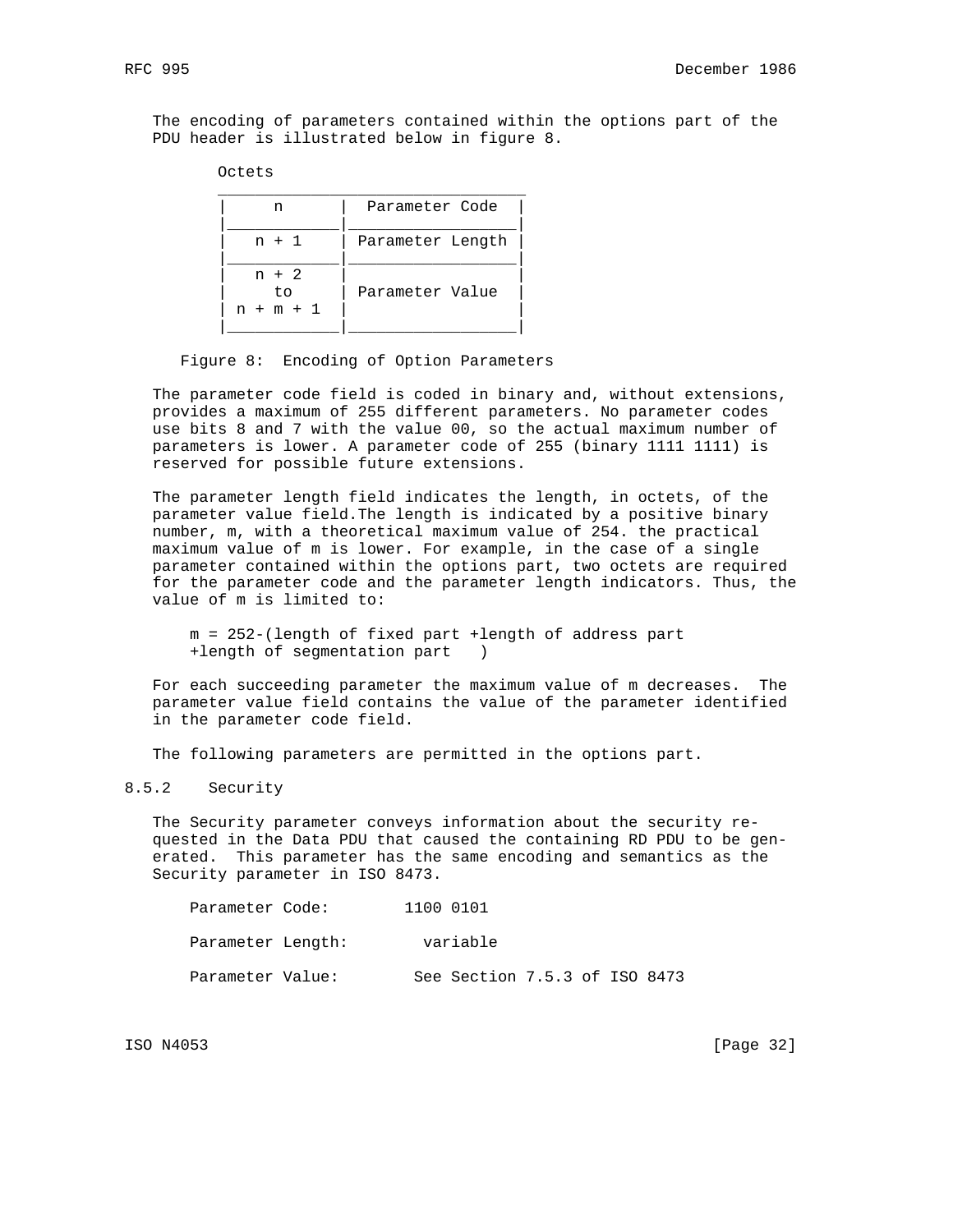The encoding of parameters contained within the options part of the PDU header is illustrated below in figure 8.

## Octets

| n                             | Parameter Code   |
|-------------------------------|------------------|
| $n + 1$                       | Parameter Length |
| $n + 2$<br>to.<br>$n + m + 1$ | Parameter Value  |
|                               |                  |

#### Figure 8: Encoding of Option Parameters

 The parameter code field is coded in binary and, without extensions, provides a maximum of 255 different parameters. No parameter codes use bits 8 and 7 with the value 00, so the actual maximum number of parameters is lower. A parameter code of 255 (binary 1111 1111) is reserved for possible future extensions.

 The parameter length field indicates the length, in octets, of the parameter value field.The length is indicated by a positive binary number, m, with a theoretical maximum value of 254. the practical maximum value of m is lower. For example, in the case of a single parameter contained within the options part, two octets are required for the parameter code and the parameter length indicators. Thus, the value of m is limited to:

 m = 252-(length of fixed part +length of address part +length of segmentation part )

 For each succeeding parameter the maximum value of m decreases. The parameter value field contains the value of the parameter identified in the parameter code field.

The following parameters are permitted in the options part.

### 8.5.2 Security

 The Security parameter conveys information about the security re quested in the Data PDU that caused the containing RD PDU to be gen erated. This parameter has the same encoding and semantics as the Security parameter in ISO 8473.

| Parameter Code:   | 1100 0101                     |
|-------------------|-------------------------------|
| Parameter Length: | variable                      |
| Parameter Value:  | See Section 7.5.3 of ISO 8473 |

ISO N4053 [Page 32]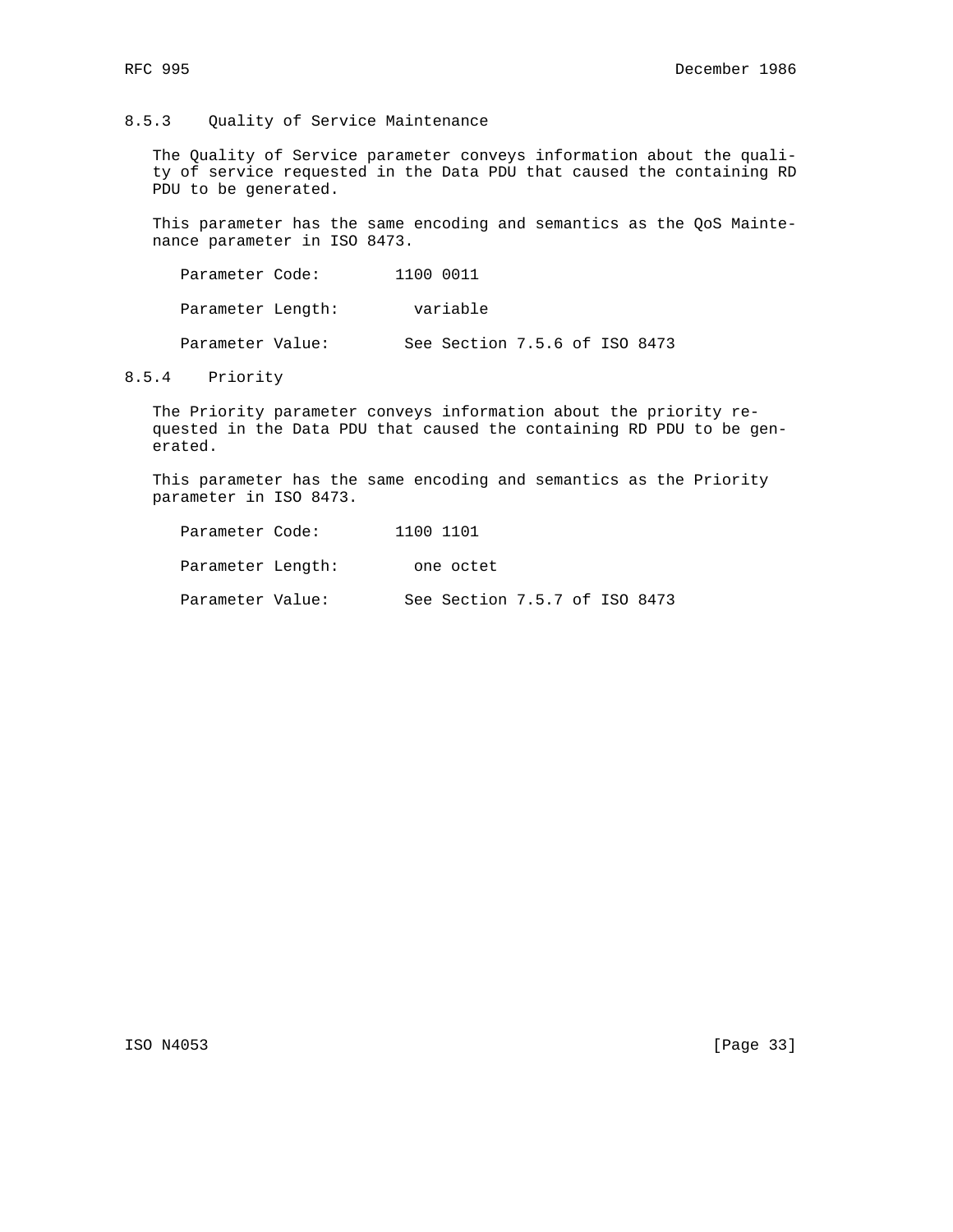## 8.5.3 Quality of Service Maintenance

 The Quality of Service parameter conveys information about the quali ty of service requested in the Data PDU that caused the containing RD PDU to be generated.

 This parameter has the same encoding and semantics as the QoS Mainte nance parameter in ISO 8473.

Parameter Code: 1100 0011 Parameter Length: variable Parameter Value: See Section 7.5.6 of ISO 8473

#### 8.5.4 Priority

 The Priority parameter conveys information about the priority re quested in the Data PDU that caused the containing RD PDU to be gen erated.

 This parameter has the same encoding and semantics as the Priority parameter in ISO 8473.

| Parameter Code:   | 1100 1101 |                               |  |  |
|-------------------|-----------|-------------------------------|--|--|
| Parameter Length: |           | one octet                     |  |  |
| Parameter Value:  |           | See Section 7.5.7 of ISO 8473 |  |  |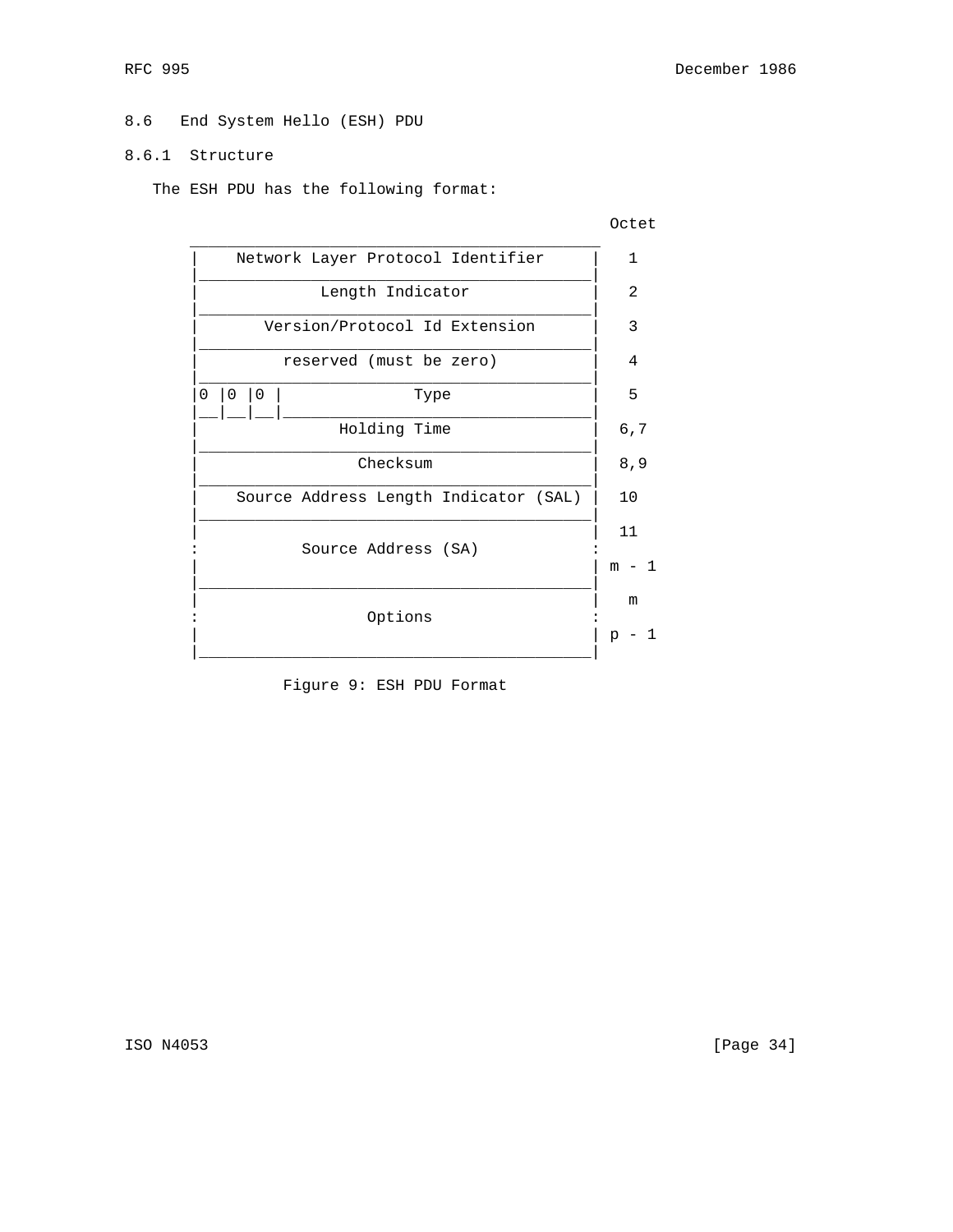# 8.6 End System Hello (ESH) PDU

## 8.6.1 Structure

The ESH PDU has the following format:



Figure 9: ESH PDU Format

ISO N4053 [Page 34]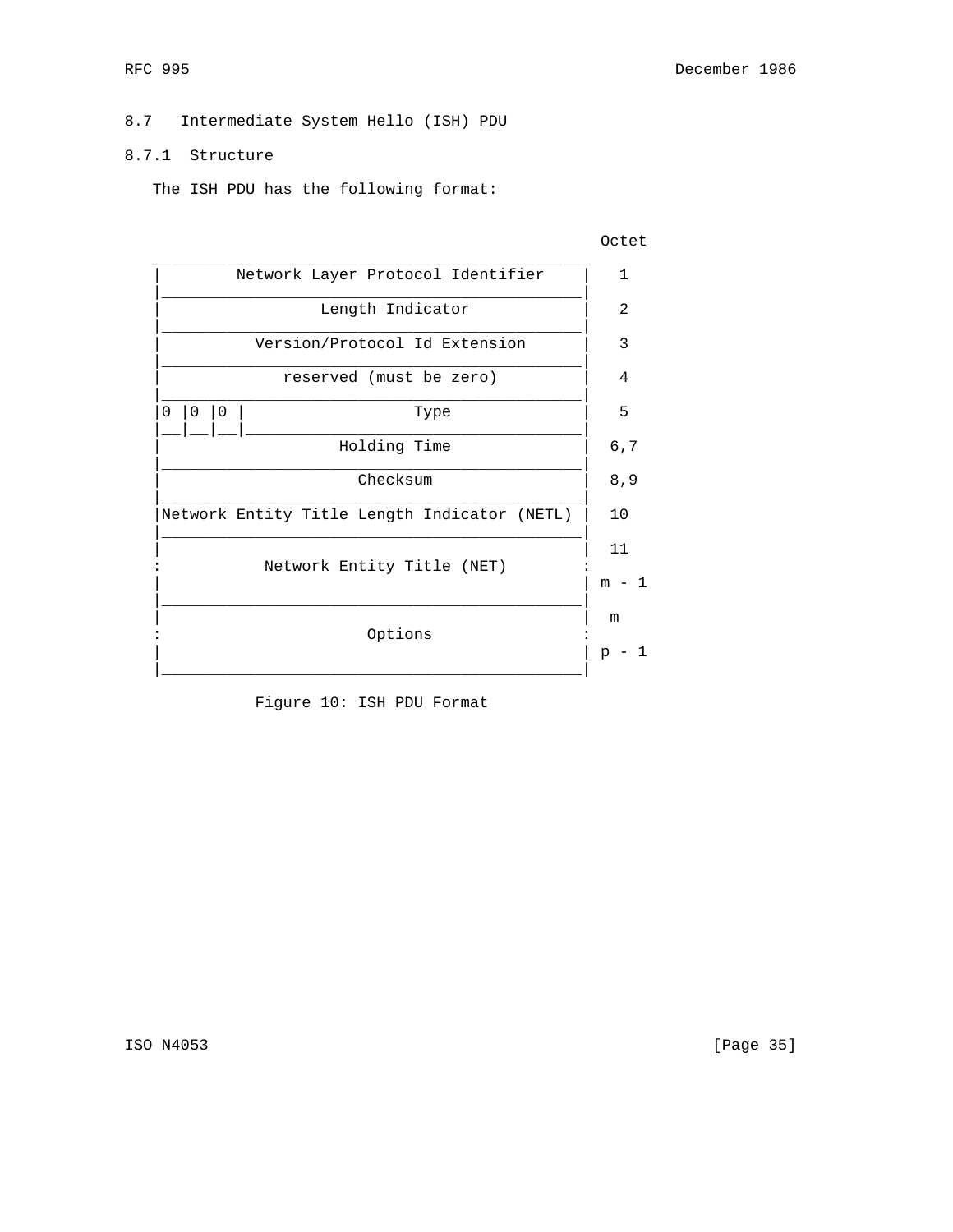# 8.7 Intermediate System Hello (ISH) PDU

## 8.7.1 Structure

The ISH PDU has the following format:



Figure 10: ISH PDU Format

ISO N4053 [Page 35]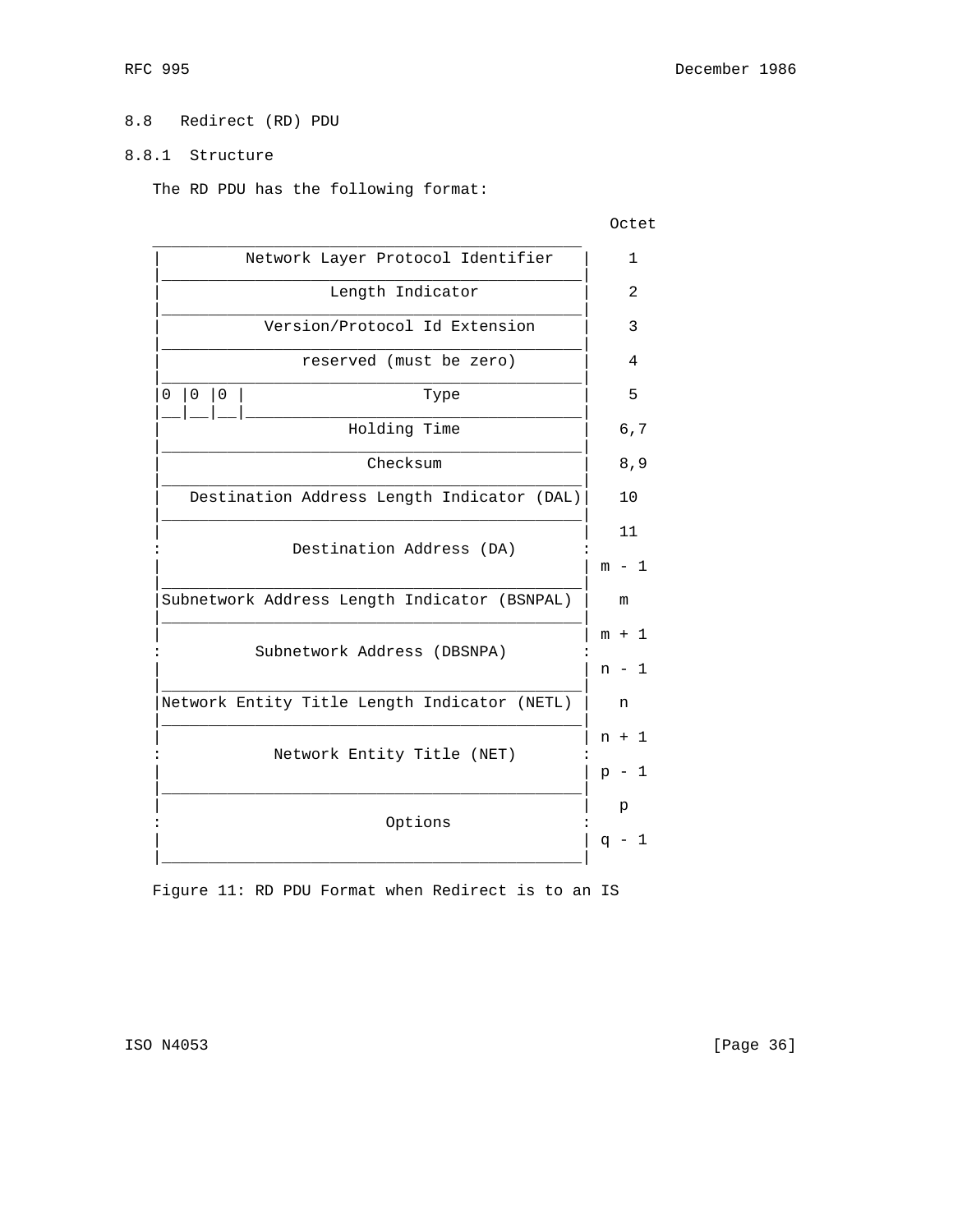# 8.8 Redirect (RD) PDU

# 8.8.1 Structure

The RD PDU has the following format:

**CONTRACT CONTRACT CONTRACT CONTRACT CONTRACT CONTRACT CONTRACT CONTRACT CONTRACT CONTRACT CONTRACT CONTRACT CO** 

|          | Network Layer Protocol Identifier |   |                                              |                                                                                                                         |       |              |  |
|----------|-----------------------------------|---|----------------------------------------------|-------------------------------------------------------------------------------------------------------------------------|-------|--------------|--|
|          |                                   |   | Length Indicator                             |                                                                                                                         | 2     |              |  |
|          |                                   |   | Version/Protocol Id Extension                |                                                                                                                         | 3     |              |  |
|          |                                   |   | reserved (must be zero)                      |                                                                                                                         | 4     |              |  |
| $\Omega$ | $\mathbf 0$                       | 0 | Type                                         |                                                                                                                         | 5     |              |  |
|          |                                   |   | Holding Time                                 |                                                                                                                         | 6,7   |              |  |
|          |                                   |   | Checksum                                     |                                                                                                                         | 8, 9  |              |  |
|          |                                   |   | Destination Address Length Indicator (DAL)   | 10                                                                                                                      |       |              |  |
|          |                                   |   |                                              |                                                                                                                         |       |              |  |
|          |                                   |   |                                              |                                                                                                                         | m - 1 |              |  |
|          |                                   |   | Subnetwork Address Length Indicator (BSNPAL) |                                                                                                                         | m     |              |  |
|          |                                   |   |                                              |                                                                                                                         | m + 1 |              |  |
|          |                                   |   |                                              |                                                                                                                         | n - 1 |              |  |
|          |                                   |   | Network Entity Title Length Indicator (NETL) |                                                                                                                         | n     |              |  |
|          |                                   |   |                                              |                                                                                                                         |       |              |  |
|          |                                   |   |                                              |                                                                                                                         |       | $\mathbf{1}$ |  |
|          |                                   |   |                                              |                                                                                                                         | р     |              |  |
|          |                                   |   |                                              |                                                                                                                         |       | -1           |  |
|          |                                   |   |                                              | Destination Address (DA)<br>Subnetwork Address (DBSNPA)<br>n + 1<br>Network Entity Title (NET)<br>$p -$<br>Options<br>q |       |              |  |

Figure 11: RD PDU Format when Redirect is to an IS

ISO N4053 [Page 36]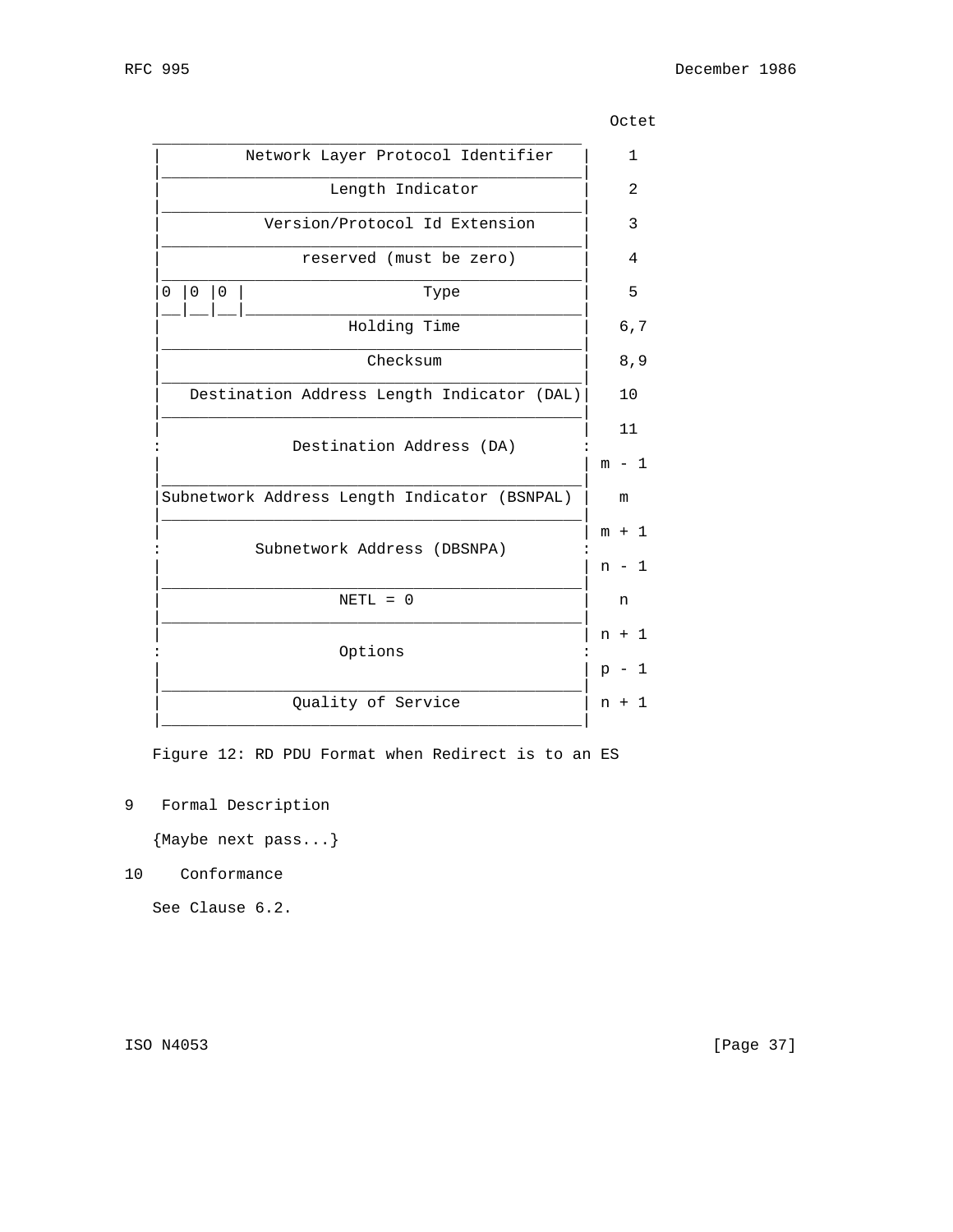|   |   |   | Network Layer Protocol Identifier            |         | $\mathbf{1}$  |
|---|---|---|----------------------------------------------|---------|---------------|
|   |   |   | Length Indicator                             |         | 2             |
|   |   |   | Version/Protocol Id Extension                |         | $\mathcal{R}$ |
|   |   |   | reserved (must be zero)                      |         | 4             |
| 0 | 0 | 0 | Type                                         |         | 5             |
|   |   |   | Holding Time                                 | 6, 7    |               |
|   |   |   | Checksum                                     | 8,9     |               |
|   |   |   | Destination Address Length Indicator (DAL)   | 10      |               |
|   |   |   | Destination Address (DA)                     | 11      |               |
|   |   |   |                                              | $m - 1$ |               |
|   |   |   | Subnetwork Address Length Indicator (BSNPAL) | m       |               |
|   |   |   | Subnetwork Address (DBSNPA)                  | $m + 1$ |               |
|   |   |   |                                              | $n - 1$ |               |
|   |   |   | $NETL = 0$                                   | n       |               |
|   |   |   |                                              | $n + 1$ |               |
|   |   |   | Options                                      | $p - 1$ |               |
|   |   |   | Quality of Service                           | $n +$   | 1             |
|   |   |   |                                              |         |               |

**CONTRACT CONTRACT CONTRACT CONTRACT CONTRACT CONTRACT CONTRACT CONTRACT CONTRACT CONTRACT CONTRACT CONTRACT CO** 

Figure 12: RD PDU Format when Redirect is to an ES

9 Formal Description

{Maybe next pass...}

10 Conformance

See Clause 6.2.

ISO N4053 [Page 37]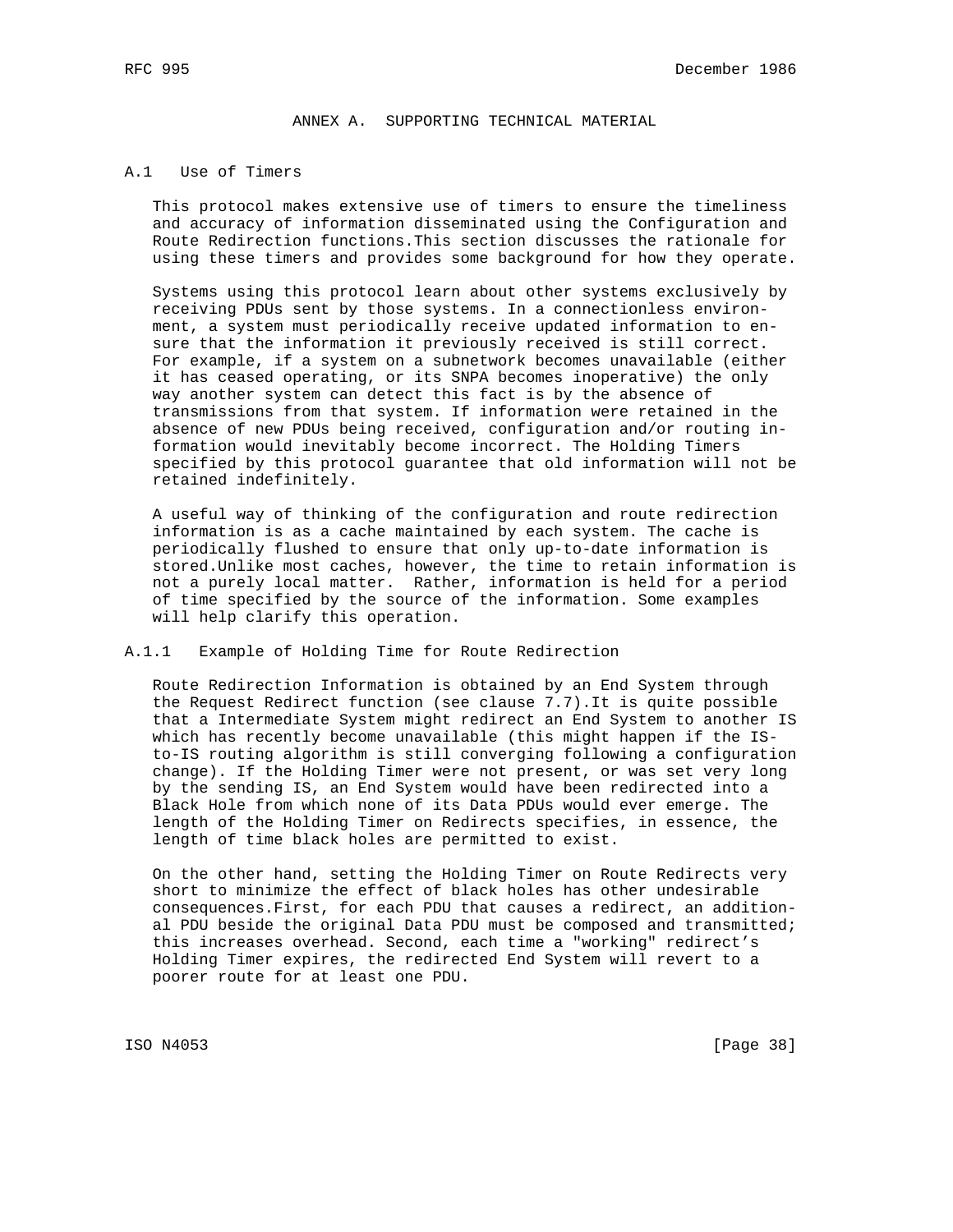## ANNEX A. SUPPORTING TECHNICAL MATERIAL

### A.1 Use of Timers

 This protocol makes extensive use of timers to ensure the timeliness and accuracy of information disseminated using the Configuration and Route Redirection functions.This section discusses the rationale for using these timers and provides some background for how they operate.

 Systems using this protocol learn about other systems exclusively by receiving PDUs sent by those systems. In a connectionless environ ment, a system must periodically receive updated information to en sure that the information it previously received is still correct. For example, if a system on a subnetwork becomes unavailable (either it has ceased operating, or its SNPA becomes inoperative) the only way another system can detect this fact is by the absence of transmissions from that system. If information were retained in the absence of new PDUs being received, configuration and/or routing in formation would inevitably become incorrect. The Holding Timers specified by this protocol guarantee that old information will not be retained indefinitely.

 A useful way of thinking of the configuration and route redirection information is as a cache maintained by each system. The cache is periodically flushed to ensure that only up-to-date information is stored.Unlike most caches, however, the time to retain information is not a purely local matter. Rather, information is held for a period of time specified by the source of the information. Some examples will help clarify this operation.

### A.1.1 Example of Holding Time for Route Redirection

 Route Redirection Information is obtained by an End System through the Request Redirect function (see clause 7.7).It is quite possible that a Intermediate System might redirect an End System to another IS which has recently become unavailable (this might happen if the IS to-IS routing algorithm is still converging following a configuration change). If the Holding Timer were not present, or was set very long by the sending IS, an End System would have been redirected into a Black Hole from which none of its Data PDUs would ever emerge. The length of the Holding Timer on Redirects specifies, in essence, the length of time black holes are permitted to exist.

 On the other hand, setting the Holding Timer on Route Redirects very short to minimize the effect of black holes has other undesirable consequences.First, for each PDU that causes a redirect, an addition al PDU beside the original Data PDU must be composed and transmitted; this increases overhead. Second, each time a "working" redirect's Holding Timer expires, the redirected End System will revert to a poorer route for at least one PDU.

ISO N4053 [Page 38]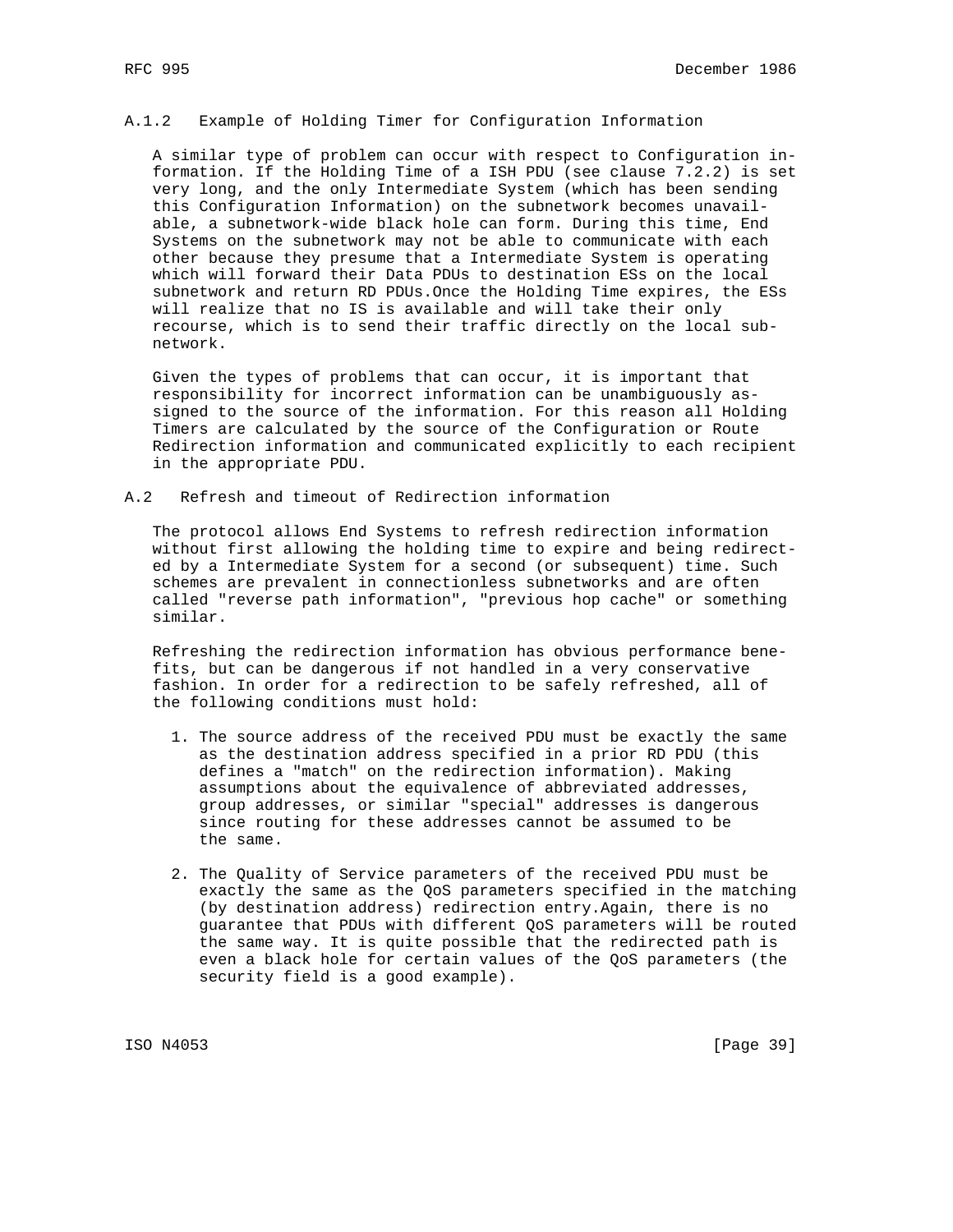#### A.1.2 Example of Holding Timer for Configuration Information

 A similar type of problem can occur with respect to Configuration in formation. If the Holding Time of a ISH PDU (see clause 7.2.2) is set very long, and the only Intermediate System (which has been sending this Configuration Information) on the subnetwork becomes unavail able, a subnetwork-wide black hole can form. During this time, End Systems on the subnetwork may not be able to communicate with each other because they presume that a Intermediate System is operating which will forward their Data PDUs to destination ESs on the local subnetwork and return RD PDUs.Once the Holding Time expires, the ESs will realize that no IS is available and will take their only recourse, which is to send their traffic directly on the local sub network.

 Given the types of problems that can occur, it is important that responsibility for incorrect information can be unambiguously as signed to the source of the information. For this reason all Holding Timers are calculated by the source of the Configuration or Route Redirection information and communicated explicitly to each recipient in the appropriate PDU.

A.2 Refresh and timeout of Redirection information

 The protocol allows End Systems to refresh redirection information without first allowing the holding time to expire and being redirect ed by a Intermediate System for a second (or subsequent) time. Such schemes are prevalent in connectionless subnetworks and are often called "reverse path information", "previous hop cache" or something similar.

 Refreshing the redirection information has obvious performance bene fits, but can be dangerous if not handled in a very conservative fashion. In order for a redirection to be safely refreshed, all of the following conditions must hold:

- 1. The source address of the received PDU must be exactly the same as the destination address specified in a prior RD PDU (this defines a "match" on the redirection information). Making assumptions about the equivalence of abbreviated addresses, group addresses, or similar "special" addresses is dangerous since routing for these addresses cannot be assumed to be the same.
- 2. The Quality of Service parameters of the received PDU must be exactly the same as the QoS parameters specified in the matching (by destination address) redirection entry.Again, there is no guarantee that PDUs with different QoS parameters will be routed the same way. It is quite possible that the redirected path is even a black hole for certain values of the QoS parameters (the security field is a good example).

ISO N4053 [Page 39]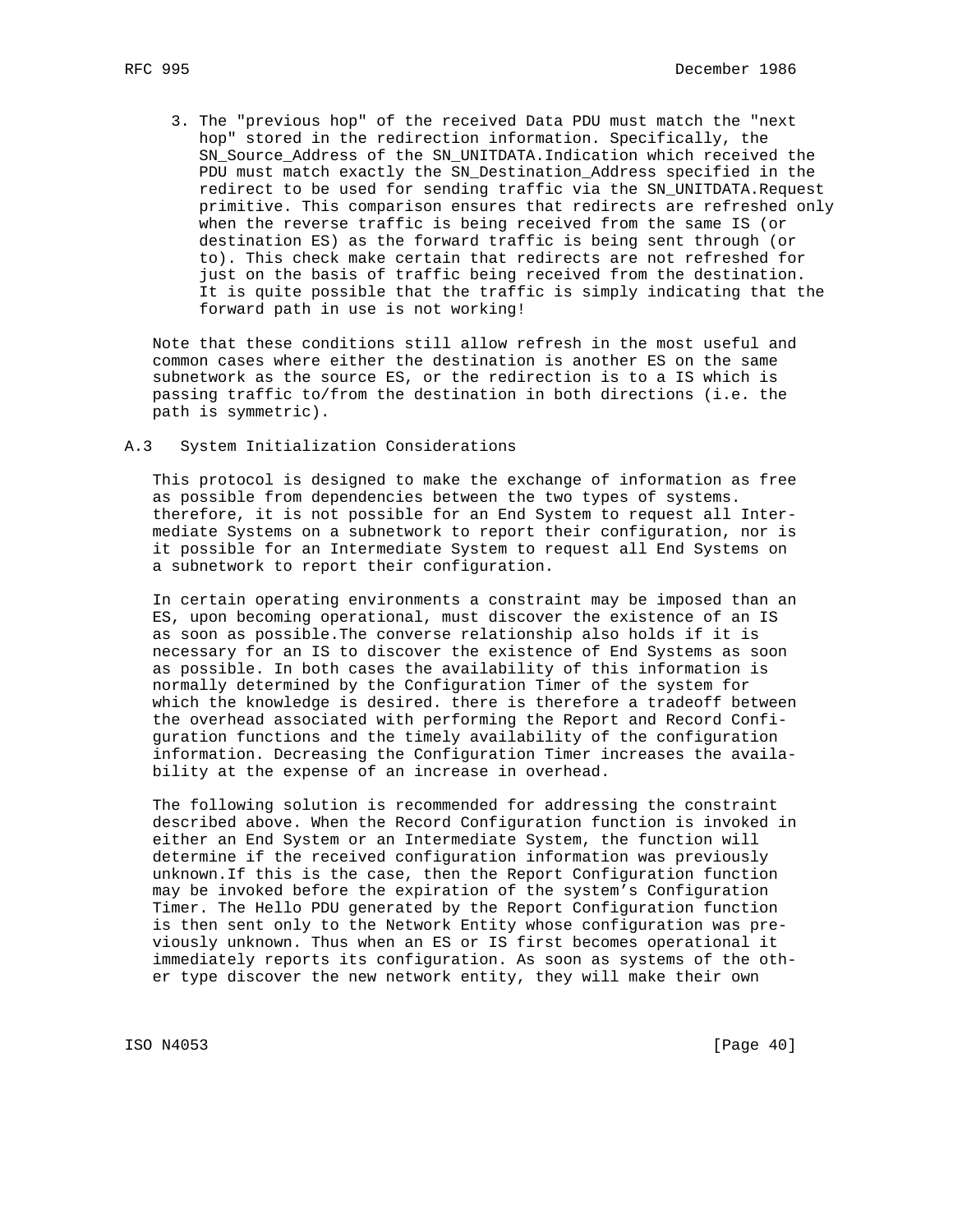3. The "previous hop" of the received Data PDU must match the "next hop" stored in the redirection information. Specifically, the SN\_Source\_Address of the SN\_UNITDATA.Indication which received the PDU must match exactly the SN\_Destination\_Address specified in the redirect to be used for sending traffic via the SN\_UNITDATA.Request primitive. This comparison ensures that redirects are refreshed only when the reverse traffic is being received from the same IS (or destination ES) as the forward traffic is being sent through (or to). This check make certain that redirects are not refreshed for just on the basis of traffic being received from the destination. It is quite possible that the traffic is simply indicating that the forward path in use is not working!

 Note that these conditions still allow refresh in the most useful and common cases where either the destination is another ES on the same subnetwork as the source ES, or the redirection is to a IS which is passing traffic to/from the destination in both directions (i.e. the path is symmetric).

#### A.3 System Initialization Considerations

 This protocol is designed to make the exchange of information as free as possible from dependencies between the two types of systems. therefore, it is not possible for an End System to request all Inter mediate Systems on a subnetwork to report their configuration, nor is it possible for an Intermediate System to request all End Systems on a subnetwork to report their configuration.

 In certain operating environments a constraint may be imposed than an ES, upon becoming operational, must discover the existence of an IS as soon as possible.The converse relationship also holds if it is necessary for an IS to discover the existence of End Systems as soon as possible. In both cases the availability of this information is normally determined by the Configuration Timer of the system for which the knowledge is desired. there is therefore a tradeoff between the overhead associated with performing the Report and Record Confi guration functions and the timely availability of the configuration information. Decreasing the Configuration Timer increases the availa bility at the expense of an increase in overhead.

 The following solution is recommended for addressing the constraint described above. When the Record Configuration function is invoked in either an End System or an Intermediate System, the function will determine if the received configuration information was previously unknown.If this is the case, then the Report Configuration function may be invoked before the expiration of the system's Configuration Timer. The Hello PDU generated by the Report Configuration function is then sent only to the Network Entity whose configuration was pre viously unknown. Thus when an ES or IS first becomes operational it immediately reports its configuration. As soon as systems of the oth er type discover the new network entity, they will make their own

ISO N4053 [Page 40]